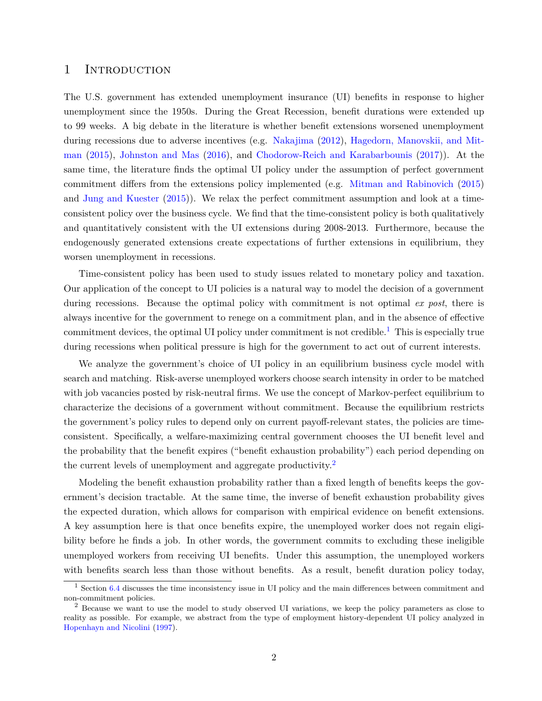## 1 INTRODUCTION

The U.S. government has extended unemployment insurance (UI) benefits in response to higher unemployment since the 1950s. During the Great Recession, benefit durations were extended up to 99 weeks. A big debate in the literature is whether benefit extensions worsened unemployment during recessions due to adverse incentives (e.g. [Nakajima](#page-38-0) [\(2012\)](#page-38-0), [Hagedorn, Manovskii, and Mit](#page-36-0)[man](#page-36-0) [\(2015\)](#page-36-0), [Johnston and Mas](#page-37-0) [\(2016\)](#page-37-0), and [Chodorow-Reich and Karabarbounis](#page-36-1) [\(2017\)](#page-36-1)). At the same time, the literature finds the optimal UI policy under the assumption of perfect government commitment differs from the extensions policy implemented (e.g. [Mitman and Rabinovich](#page-37-1) [\(2015\)](#page-37-1) and [Jung and Kuester](#page-37-2) [\(2015\)](#page-37-2)). We relax the perfect commitment assumption and look at a timeconsistent policy over the business cycle. We find that the time-consistent policy is both qualitatively and quantitatively consistent with the UI extensions during 2008-2013. Furthermore, because the endogenously generated extensions create expectations of further extensions in equilibrium, they worsen unemployment in recessions.

Time-consistent policy has been used to study issues related to monetary policy and taxation. Our application of the concept to UI policies is a natural way to model the decision of a government during recessions. Because the optimal policy with commitment is not optimal *ex post*, there is always incentive for the government to renege on a commitment plan, and in the absence of effective commitment devices, the optimal UI policy under commitment is not credible.<sup>[1](#page-0-0)</sup> This is especially true during recessions when political pressure is high for the government to act out of current interests.

We analyze the government's choice of UI policy in an equilibrium business cycle model with search and matching. Risk-averse unemployed workers choose search intensity in order to be matched with job vacancies posted by risk-neutral firms. We use the concept of Markov-perfect equilibrium to characterize the decisions of a government without commitment. Because the equilibrium restricts the government's policy rules to depend only on current payoff-relevant states, the policies are timeconsistent. Specifically, a welfare-maximizing central government chooses the UI benefit level and the probability that the benefit expires ("benefit exhaustion probability") each period depending on the current levels of unemployment and aggregate productivity.<sup>[2](#page-0-1)</sup>

Modeling the benefit exhaustion probability rather than a fixed length of benefits keeps the government's decision tractable. At the same time, the inverse of benefit exhaustion probability gives the expected duration, which allows for comparison with empirical evidence on benefit extensions. A key assumption here is that once benefits expire, the unemployed worker does not regain eligibility before he finds a job. In other words, the government commits to excluding these ineligible unemployed workers from receiving UI benefits. Under this assumption, the unemployed workers with benefits search less than those without benefits. As a result, benefit duration policy today,

<span id="page-0-0"></span><sup>&</sup>lt;sup>1</sup> Section [6.4](#page-33-0) discusses the time inconsistency issue in UI policy and the main differences between commitment and non-commitment policies.

<span id="page-0-1"></span><sup>2</sup> Because we want to use the model to study observed UI variations, we keep the policy parameters as close to reality as possible. For example, we abstract from the type of employment history-dependent UI policy analyzed in [Hopenhayn and Nicolini](#page-37-3) [\(1997\)](#page-37-3).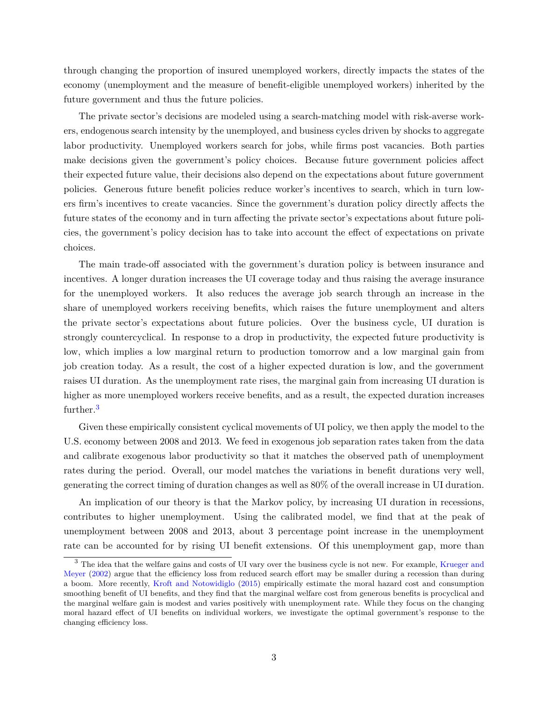through changing the proportion of insured unemployed workers, directly impacts the states of the economy (unemployment and the measure of benefit-eligible unemployed workers) inherited by the future government and thus the future policies.

The private sector's decisions are modeled using a search-matching model with risk-averse workers, endogenous search intensity by the unemployed, and business cycles driven by shocks to aggregate labor productivity. Unemployed workers search for jobs, while firms post vacancies. Both parties make decisions given the government's policy choices. Because future government policies affect their expected future value, their decisions also depend on the expectations about future government policies. Generous future benefit policies reduce worker's incentives to search, which in turn lowers firm's incentives to create vacancies. Since the government's duration policy directly affects the future states of the economy and in turn affecting the private sector's expectations about future policies, the government's policy decision has to take into account the effect of expectations on private choices.

The main trade-off associated with the government's duration policy is between insurance and incentives. A longer duration increases the UI coverage today and thus raising the average insurance for the unemployed workers. It also reduces the average job search through an increase in the share of unemployed workers receiving benefits, which raises the future unemployment and alters the private sector's expectations about future policies. Over the business cycle, UI duration is strongly countercyclical. In response to a drop in productivity, the expected future productivity is low, which implies a low marginal return to production tomorrow and a low marginal gain from job creation today. As a result, the cost of a higher expected duration is low, and the government raises UI duration. As the unemployment rate rises, the marginal gain from increasing UI duration is higher as more unemployed workers receive benefits, and as a result, the expected duration increases further.<sup>[3](#page-1-0)</sup>

Given these empirically consistent cyclical movements of UI policy, we then apply the model to the U.S. economy between 2008 and 2013. We feed in exogenous job separation rates taken from the data and calibrate exogenous labor productivity so that it matches the observed path of unemployment rates during the period. Overall, our model matches the variations in benefit durations very well, generating the correct timing of duration changes as well as 80% of the overall increase in UI duration.

An implication of our theory is that the Markov policy, by increasing UI duration in recessions, contributes to higher unemployment. Using the calibrated model, we find that at the peak of unemployment between 2008 and 2013, about 3 percentage point increase in the unemployment rate can be accounted for by rising UI benefit extensions. Of this unemployment gap, more than

<span id="page-1-0"></span><sup>&</sup>lt;sup>3</sup> The idea that the welfare gains and costs of UI vary over the business cycle is not new. For example, [Krueger and](#page-37-4) [Meyer](#page-37-4) [\(2002\)](#page-37-4) argue that the efficiency loss from reduced search effort may be smaller during a recession than during a boom. More recently, [Kroft and Notowidiglo](#page-37-5) [\(2015\)](#page-37-5) empirically estimate the moral hazard cost and consumption smoothing benefit of UI benefits, and they find that the marginal welfare cost from generous benefits is procyclical and the marginal welfare gain is modest and varies positively with unemployment rate. While they focus on the changing moral hazard effect of UI benefits on individual workers, we investigate the optimal government's response to the changing efficiency loss.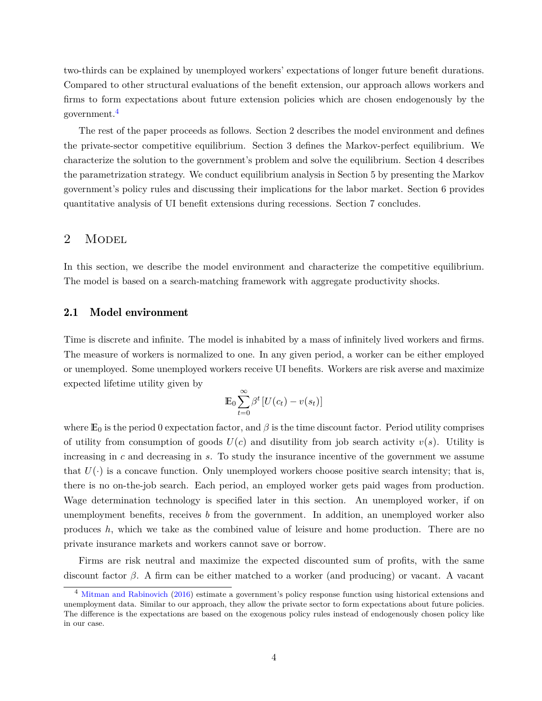two-thirds can be explained by unemployed workers' expectations of longer future benefit durations. Compared to other structural evaluations of the benefit extension, our approach allows workers and firms to form expectations about future extension policies which are chosen endogenously by the government.[4](#page-2-0)

The rest of the paper proceeds as follows. Section 2 describes the model environment and defines the private-sector competitive equilibrium. Section 3 defines the Markov-perfect equilibrium. We characterize the solution to the government's problem and solve the equilibrium. Section 4 describes the parametrization strategy. We conduct equilibrium analysis in Section 5 by presenting the Markov government's policy rules and discussing their implications for the labor market. Section 6 provides quantitative analysis of UI benefit extensions during recessions. Section 7 concludes.

## 2 MODEL

In this section, we describe the model environment and characterize the competitive equilibrium. The model is based on a search-matching framework with aggregate productivity shocks.

## 2.1 Model environment

Time is discrete and infinite. The model is inhabited by a mass of infinitely lived workers and firms. The measure of workers is normalized to one. In any given period, a worker can be either employed or unemployed. Some unemployed workers receive UI benefits. Workers are risk averse and maximize expected lifetime utility given by

$$
\mathbb{E}_0 \sum_{t=0}^{\infty} \beta^t \left[ U(c_t) - v(s_t) \right]
$$

where  $\mathbb{E}_0$  is the period 0 expectation factor, and  $\beta$  is the time discount factor. Period utility comprises of utility from consumption of goods  $U(c)$  and disutility from job search activity  $v(s)$ . Utility is increasing in  $c$  and decreasing in  $s$ . To study the insurance incentive of the government we assume that  $U(\cdot)$  is a concave function. Only unemployed workers choose positive search intensity; that is, there is no on-the-job search. Each period, an employed worker gets paid wages from production. Wage determination technology is specified later in this section. An unemployed worker, if on unemployment benefits, receives *b* from the government. In addition, an unemployed worker also produces *h*, which we take as the combined value of leisure and home production. There are no private insurance markets and workers cannot save or borrow.

Firms are risk neutral and maximize the expected discounted sum of profits, with the same discount factor  $\beta$ . A firm can be either matched to a worker (and producing) or vacant. A vacant

<span id="page-2-0"></span><sup>&</sup>lt;sup>4</sup> [Mitman and Rabinovich](#page-37-6) [\(2016\)](#page-37-6) estimate a government's policy response function using historical extensions and unemployment data. Similar to our approach, they allow the private sector to form expectations about future policies. The difference is the expectations are based on the exogenous policy rules instead of endogenously chosen policy like in our case.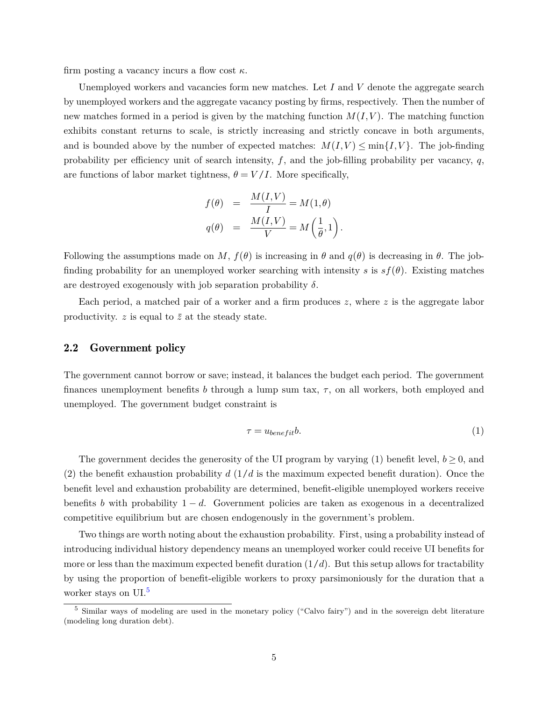firm posting a vacancy incurs a flow cost  $\kappa$ .

Unemployed workers and vacancies form new matches. Let  $I$  and  $V$  denote the aggregate search by unemployed workers and the aggregate vacancy posting by firms, respectively. Then the number of new matches formed in a period is given by the matching function  $M(I, V)$ . The matching function exhibits constant returns to scale, is strictly increasing and strictly concave in both arguments, and is bounded above by the number of expected matches:  $M(I, V) \le \min\{I, V\}$ . The job-finding probability per efficiency unit of search intensity,  $f$ , and the job-filling probability per vacancy,  $q$ , are functions of labor market tightness,  $\theta = V/I$ . More specifically,

$$
f(\theta) = \frac{M(I, V)}{I} = M(1, \theta)
$$

$$
q(\theta) = \frac{M(I, V)}{V} = M\left(\frac{1}{\theta}, 1\right).
$$

Following the assumptions made on M,  $f(\theta)$  is increasing in  $\theta$  and  $q(\theta)$  is decreasing in  $\theta$ . The jobfinding probability for an unemployed worker searching with intensity s is  $s f(\theta)$ . Existing matches are destroyed exogenously with job separation probability  $\delta$ .

Each period, a matched pair of a worker and a firm produces  $z$ , where  $z$  is the aggregate labor productivity.  $z$  is equal to  $\bar{z}$  at the steady state.

### 2.2 Government policy

The government cannot borrow or save; instead, it balances the budget each period. The government finances unemployment benefits  $b$  through a lump sum tax,  $\tau$ , on all workers, both employed and unemployed. The government budget constraint is

$$
\tau = u_{benefit}b.\tag{1}
$$

The government decides the generosity of the UI program by varying (1) benefit level,  $b > 0$ , and (2) the benefit exhaustion probability  $d(1/d)$  is the maximum expected benefit duration). Once the benefit level and exhaustion probability are determined, benefit-eligible unemployed workers receive benefits *b* with probability  $1 - d$ . Government policies are taken as exogenous in a decentralized competitive equilibrium but are chosen endogenously in the government's problem.

Two things are worth noting about the exhaustion probability. First, using a probability instead of introducing individual history dependency means an unemployed worker could receive UI benefits for more or less than the maximum expected benefit duration  $(1/d)$ . But this setup allows for tractability by using the proportion of benefit-eligible workers to proxy parsimoniously for the duration that a worker stays on UI.<sup>[5](#page-3-0)</sup>

<span id="page-3-0"></span><sup>&</sup>lt;sup>5</sup> Similar ways of modeling are used in the monetary policy ("Calvo fairy") and in the sovereign debt literature (modeling long duration debt).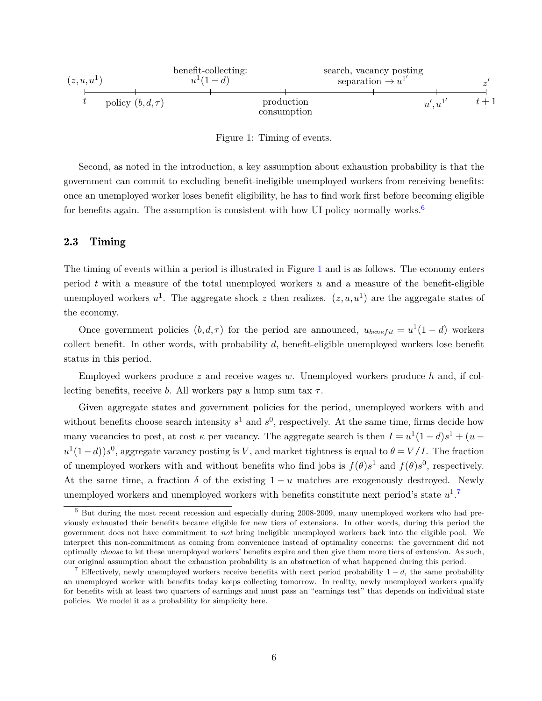

<span id="page-4-1"></span>Figure 1: Timing of events.

Second, as noted in the introduction, a key assumption about exhaustion probability is that the government can commit to excluding benefit-ineligible unemployed workers from receiving benefits: once an unemployed worker loses benefit eligibility, he has to find work first before becoming eligible for benefits again. The assumption is consistent with how UI policy normally works. $6$ 

### 2.3 Timing

The timing of events within a period is illustrated in Figure [1](#page-4-1) and is as follows. The economy enters period  $t$  with a measure of the total unemployed workers  $u$  and a measure of the benefit-eligible unemployed workers  $u^1$ . The aggregate shock z then realizes.  $(z, u, u^1)$  are the aggregate states of the economy.

Once government policies  $(b, d, \tau)$  for the period are announced,  $u_{\text{benefit}} = u^1(1-d)$  workers collect benefit. In other words, with probability  $d$ , benefit-eligible unemployed workers lose benefit status in this period.

Employed workers produce *z* and receive wages w. Unemployed workers produce *h* and, if collecting benefits, receive *b*. All workers pay a lump sum tax  $\tau$ .

Given aggregate states and government policies for the period, unemployed workers with and without benefits choose search intensity  $s^1$  and  $s^0$ , respectively. At the same time, firms decide how many vacancies to post, at cost  $\kappa$  per vacancy. The aggregate search is then  $I = u^1(1-d)s^1 + (u-d)s^2$  $u^1(1-d)$ ) $s^0$ , aggregate vacancy posting is V, and market tightness is equal to  $\theta = V/I$ . The fraction of unemployed workers with and without benefits who find jobs is  $f(\theta)s^1$  and  $f(\theta)s^0$ , respectively. At the same time, a fraction  $\delta$  of the existing  $1 - u$  matches are exogenously destroyed. Newly unemployed workers and unemployed workers with benefits constitute next period's state  $u^1$ .

<span id="page-4-0"></span><sup>6</sup> But during the most recent recession and especially during 2008-2009, many unemployed workers who had previously exhausted their benefits became eligible for new tiers of extensions. In other words, during this period the government does not have commitment to *not* bring ineligible unemployed workers back into the eligible pool. We interpret this non-commitment as coming from convenience instead of optimality concerns: the government did not optimally *choose* to let these unemployed workers' benefits expire and then give them more tiers of extension. As such, our original assumption about the exhaustion probability is an abstraction of what happened during this period.

<span id="page-4-2"></span><sup>&</sup>lt;sup>7</sup> Effectively, newly unemployed workers receive benefits with next period probability  $1 - d$ , the same probability an unemployed worker with benefits today keeps collecting tomorrow. In reality, newly unemployed workers qualify for benefits with at least two quarters of earnings and must pass an "earnings test" that depends on individual state policies. We model it as a probability for simplicity here.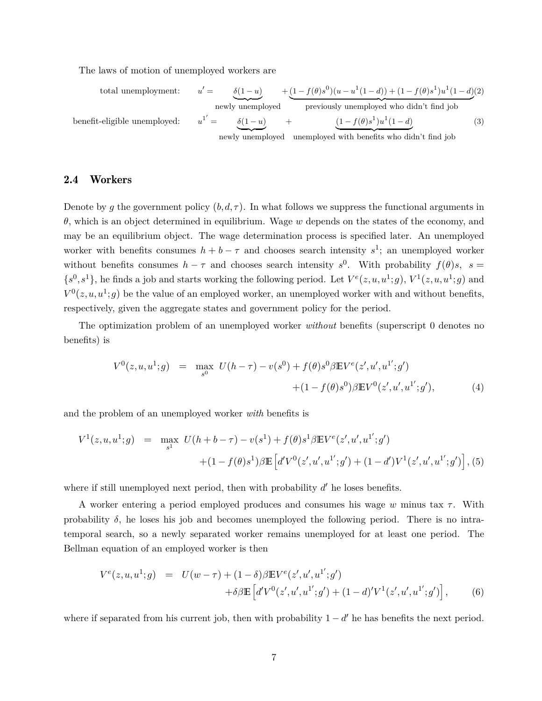The laws of motion of unemployed workers are

<span id="page-5-2"></span>total unemplogment: 
$$
u' = \underbrace{\delta(1-u)}_{\text{newly unemploved}} + \underbrace{(1-f(\theta)s^{0})(u-u^{1}(1-d)) + (1-f(\theta)s^{1})u^{1}(1-d)}_{\text{previously unemploved with benefits who didn't find job}}
$$
\n
$$
u^{1'} = \underbrace{\delta(1-u)}_{\text{newly unemploved}} + \underbrace{(1-f(\theta)s^{1})u^{1}(1-d)}_{\text{newly unemploved with benefits who didn't find job}}
$$
\n(3)

## 2.4 Workers

Denote by g the government policy  $(b, d, \tau)$ . In what follows we suppress the functional arguments in  $\theta$ , which is an object determined in equilibrium. Wage  $w$  depends on the states of the economy, and may be an equilibrium object. The wage determination process is specified later. An unemployed worker with benefits consumes  $h + b - \tau$  and chooses search intensity  $s^1$ ; an unemployed worker without benefits consumes  $h - \tau$  and chooses search intensity  $s^0$ . With probability  $f(\theta)s$ ,  $s =$  $\{s^0, s^1\}$ , he finds a job and starts working the following period. Let  $V^e(z, u, u^1; g)$ ,  $V^1(z, u, u^1; g)$  and  $V^0(z, u, u^1; g)$  be the value of an employed worker, an unemployed worker with and without benefits, respectively, given the aggregate states and government policy for the period.

The optimization problem of an unemployed worker *without* benefits (superscript 0 denotes no benefits) is

<span id="page-5-0"></span>
$$
V^{0}(z, u, u^{1}; g) = \max_{s^{0}} U(h - \tau) - v(s^{0}) + f(\theta)s^{0} \beta \mathbb{E} V^{e}(z', u', u^{1'}; g')
$$
  
 
$$
+ (1 - f(\theta)s^{0}) \beta \mathbb{E} V^{0}(z', u', u^{1'}; g'), \qquad (4)
$$

and the problem of an unemployed worker *with* benefits is

<span id="page-5-1"></span>
$$
V^{1}(z, u, u^{1}; g) = \max_{s^{1}} U(h + b - \tau) - v(s^{1}) + f(\theta)s^{1}\beta \mathbb{E}V^{e}(z', u', u^{1'}; g')
$$

$$
+ (1 - f(\theta)s^{1})\beta \mathbb{E}\left[d'V^{0}(z', u', u^{1'}; g') + (1 - d')V^{1}(z', u', u^{1'}; g')\right], (5)
$$

where if still unemployed next period, then with probability  $d'$  he loses benefits.

A worker entering a period employed produces and consumes his wage  $w$  minus tax  $\tau$ . With probability  $\delta$ , he loses his job and becomes unemployed the following period. There is no intratemporal search, so a newly separated worker remains unemployed for at least one period. The Bellman equation of an employed worker is then

$$
V^{e}(z, u, u^{1}; g) = U(w - \tau) + (1 - \delta)\beta \mathbb{E}V^{e}(z', u', u^{1'}; g')
$$
  
 
$$
+ \delta\beta \mathbb{E}\left[d'V^{0}(z', u', u^{1'}; g') + (1 - d)'V^{1}(z', u', u^{1'}; g')\right], \qquad (6)
$$

where if separated from his current job, then with probability  $1 - d'$  he has benefits the next period.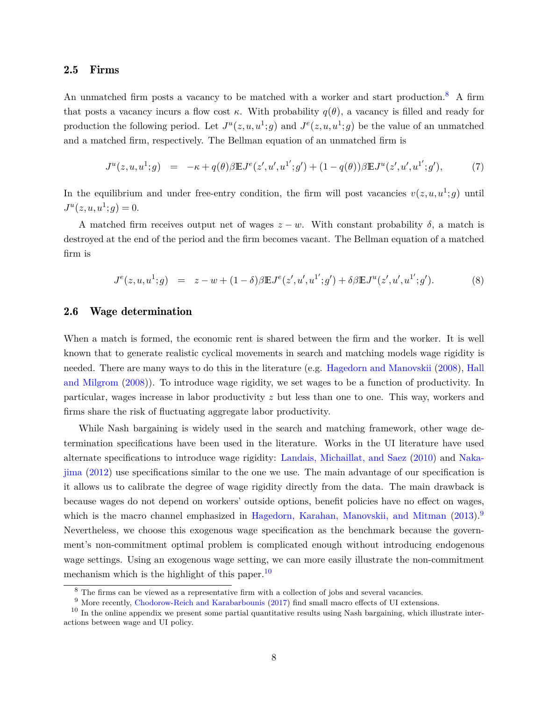## 2.5 Firms

An unmatched firm posts a vacancy to be matched with a worker and start production.<sup>[8](#page-6-0)</sup> A firm that posts a vacancy incurs a flow cost  $\kappa$ . With probability  $q(\theta)$ , a vacancy is filled and ready for production the following period. Let  $J^u(z, u, u^1; g)$  and  $J^e(z, u, u^1; g)$  be the value of an unmatched and a matched firm, respectively. The Bellman equation of an unmatched firm is

$$
J^{u}(z, u, u^{1}; g) = -\kappa + q(\theta) \beta \mathbb{E} J^{e}(z', u', u^{1'}; g') + (1 - q(\theta)) \beta \mathbb{E} J^{u}(z', u', u^{1'}; g'), \tag{7}
$$

In the equilibrium and under free-entry condition, the firm will post vacancies  $v(z, u, u^1; g)$  until  $J^u(z, u, u^1; g) = 0.$ 

A matched firm receives output net of wages  $z - w$ . With constant probability  $\delta$ , a match is destroyed at the end of the period and the firm becomes vacant. The Bellman equation of a matched firm is

<span id="page-6-3"></span>
$$
J^{e}(z, u, u^{1}; g) = z - w + (1 - \delta)\beta \mathbb{E}J^{e}(z', u', u^{1'}; g') + \delta\beta \mathbb{E}J^{u}(z', u', u^{1'}; g').
$$
 (8)

## 2.6 Wage determination

When a match is formed, the economic rent is shared between the firm and the worker. It is well known that to generate realistic cyclical movements in search and matching models wage rigidity is needed. There are many ways to do this in the literature (e.g. [Hagedorn and Manovskii](#page-36-2) [\(2008\)](#page-36-2), [Hall](#page-37-7) [and Milgrom](#page-37-7) [\(2008\)](#page-37-7)). To introduce wage rigidity, we set wages to be a function of productivity. In particular, wages increase in labor productivity  $z$  but less than one to one. This way, workers and firms share the risk of fluctuating aggregate labor productivity.

While Nash bargaining is widely used in the search and matching framework, other wage determination specifications have been used in the literature. Works in the UI literature have used alternate specifications to introduce wage rigidity: [Landais, Michaillat, and Saez](#page-37-8) [\(2010\)](#page-37-8) and [Naka](#page-38-0)[jima](#page-38-0) [\(2012\)](#page-38-0) use specifications similar to the one we use. The main advantage of our specification is it allows us to calibrate the degree of wage rigidity directly from the data. The main drawback is because wages do not depend on workers' outside options, benefit policies have no effect on wages, which is the macro channel emphasized in [Hagedorn, Karahan, Manovskii, and Mitman](#page-36-3) [\(2013\)](#page-36-3).<sup>[9](#page-6-1)</sup> Nevertheless, we choose this exogenous wage specification as the benchmark because the government's non-commitment optimal problem is complicated enough without introducing endogenous wage settings. Using an exogenous wage setting, we can more easily illustrate the non-commitment mechanism which is the highlight of this paper.  $10$ 

<span id="page-6-0"></span><sup>&</sup>lt;sup>8</sup> The firms can be viewed as a representative firm with a collection of jobs and several vacancies.

<span id="page-6-2"></span><span id="page-6-1"></span><sup>&</sup>lt;sup>9</sup> More recently, [Chodorow-Reich and Karabarbounis](#page-36-1) [\(2017\)](#page-36-1) find small macro effects of UI extensions.

 $10$  In the online appendix we present some partial quantitative results using Nash bargaining, which illustrate interactions between wage and UI policy.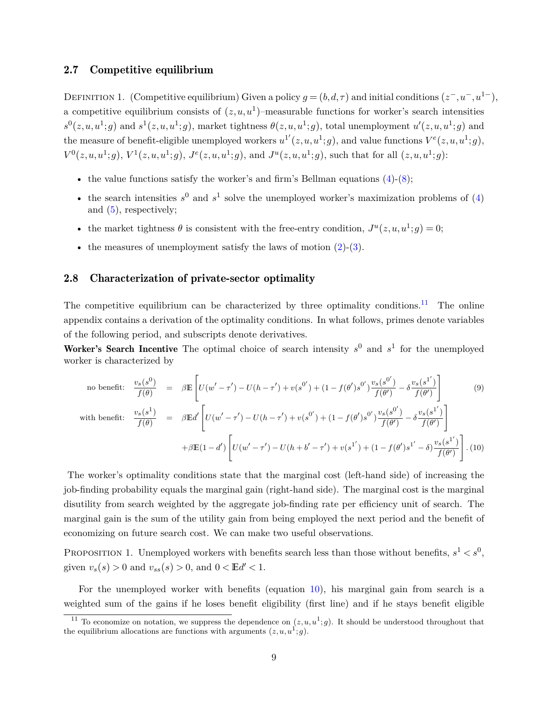### 2.7 Competitive equilibrium

DEFINITION 1. (Competitive equilibrium) Given a policy  $g = (b, d, \tau)$  and initial conditions  $(z^-, u^-, u^{1-})$ , a competitive equilibrium consists of  $(z, u, u<sup>1</sup>)$ -measurable functions for worker's search intensities  $s^0(z, u, u^1; g)$  and  $s^1(z, u, u^1; g)$ , market tightness  $\theta(z, u, u^1; g)$ , total unemployment  $u'(z, u, u^1; g)$  and the measure of benefit-eligible unemployed workers  $u^{1'}(z, u, u^1; g)$ , and value functions  $V^e(z, u, u^1; g)$ ,  $V^0(z, u, u^1; g), V^1(z, u, u^1; g), J^e(z, u, u^1; g),$  and  $J^u(z, u, u^1; g)$ , such that for all  $(z, u, u^1; g)$ :

- the value functions satisfy the worker's and firm's Bellman equations  $(4)-(8)$  $(4)-(8)$  $(4)-(8)$ ;
- the search intensities  $s^0$  and  $s^1$  solve the unemployed worker's maximization problems of [\(4\)](#page-5-0) and [\(5\)](#page-5-1), respectively;
- the market tightness  $\theta$  is consistent with the free-entry condition,  $J^u(z, u, u^1; g) = 0;$
- the measures of unemployment satisfy the laws of motion  $(2)$ - $(3)$ .

## 2.8 Characterization of private-sector optimality

The competitive equilibrium can be characterized by three optimality conditions.<sup>[11](#page-7-0)</sup> The online appendix contains a derivation of the optimality conditions. In what follows, primes denote variables of the following period, and subscripts denote derivatives.

Worker's Search Incentive The optimal choice of search intensity  $s^0$  and  $s^1$  for the unemployed worker is characterized by

<span id="page-7-1"></span>no benefit: 
$$
\frac{v_s(s^0)}{f(\theta)} = \beta \mathbb{E} \left[ U(w' - \tau') - U(h - \tau') + v(s^{0'}) + (1 - f(\theta')s^{0'}) \frac{v_s(s^{0'})}{f(\theta')} - \delta \frac{v_s(s^{1'})}{f(\theta')} \right]
$$
(9)  
with benefit: 
$$
\frac{v_s(s^1)}{f(\theta)} = \beta \mathbb{E} d' \left[ U(w' - \tau') - U(h - \tau') + v(s^{0'}) + (1 - f(\theta')s^{0'}) \frac{v_s(s^{0'})}{f(\theta')} - \delta \frac{v_s(s^{1'})}{f(\theta')} \right]
$$

$$
+ \beta \mathbb{E} (1 - d') \left[ U(w' - \tau') - U(h + b' - \tau') + v(s^{1'}) + (1 - f(\theta')s^{1'} - \delta) \frac{v_s(s^{1'})}{f(\theta')} \right].
$$
(10)

The worker's optimality conditions state that the marginal cost (left-hand side) of increasing the job-finding probability equals the marginal gain (right-hand side). The marginal cost is the marginal disutility from search weighted by the aggregate job-finding rate per efficiency unit of search. The marginal gain is the sum of the utility gain from being employed the next period and the benefit of economizing on future search cost. We can make two useful observations.

<span id="page-7-2"></span>PROPOSITION 1. Unemployed workers with benefits search less than those without benefits,  $s^1 < s^0$ , given  $v_s(s) > 0$  and  $v_{ss}(s) > 0$ , and  $0 < \mathbb{E}d' < 1$ .

For the unemployed worker with benefits (equation [10\)](#page-7-1), his marginal gain from search is a weighted sum of the gains if he loses benefit eligibility (first line) and if he stays benefit eligible

<span id="page-7-0"></span><sup>&</sup>lt;sup>11</sup> To economize on notation, we suppress the dependence on  $(z, u, u^1; g)$ . It should be understood throughout that the equilibrium allocations are functions with arguments  $(z, u, u^1; g)$ .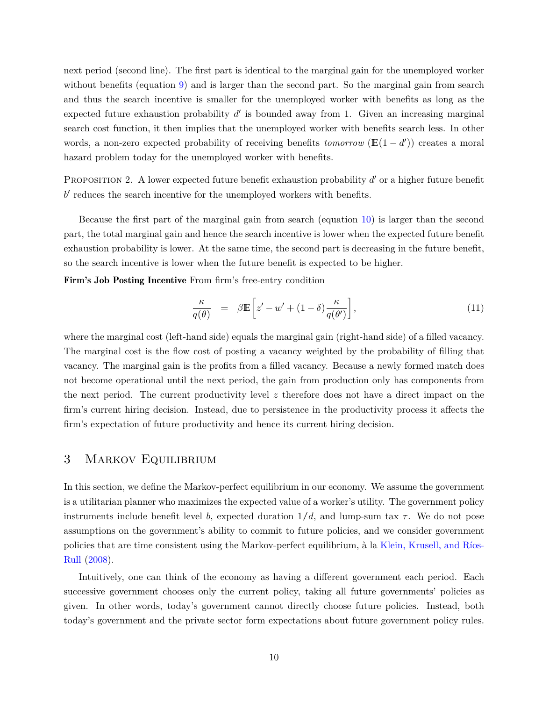next period (second line). The first part is identical to the marginal gain for the unemployed worker without benefits (equation [9\)](#page-7-1) and is larger than the second part. So the marginal gain from search and thus the search incentive is smaller for the unemployed worker with benefits as long as the expected future exhaustion probability  $d'$  is bounded away from 1. Given an increasing marginal search cost function, it then implies that the unemployed worker with benefits search less. In other words, a non-zero expected probability of receiving benefits *tomorrow* ( $\mathbb{E}(1-d')$ ) creates a moral hazard problem today for the unemployed worker with benefits.

<span id="page-8-0"></span>PROPOSITION 2. A lower expected future benefit exhaustion probability  $d'$  or a higher future benefit  $b'$  reduces the search incentive for the unemployed workers with benefits.

Because the first part of the marginal gain from search (equation [10\)](#page-7-1) is larger than the second part, the total marginal gain and hence the search incentive is lower when the expected future benefit exhaustion probability is lower. At the same time, the second part is decreasing in the future benefit, so the search incentive is lower when the future benefit is expected to be higher.

Firm's Job Posting Incentive From firm's free-entry condition

$$
\frac{\kappa}{q(\theta)} = \beta \mathbb{E} \left[ z' - w' + (1 - \delta) \frac{\kappa}{q(\theta')} \right],\tag{11}
$$

where the marginal cost (left-hand side) equals the marginal gain (right-hand side) of a filled vacancy. The marginal cost is the flow cost of posting a vacancy weighted by the probability of filling that vacancy. The marginal gain is the profits from a filled vacancy. Because a newly formed match does not become operational until the next period, the gain from production only has components from the next period. The current productivity level  $z$  therefore does not have a direct impact on the firm's current hiring decision. Instead, due to persistence in the productivity process it affects the firm's expectation of future productivity and hence its current hiring decision.

## 3 Markov Equilibrium

In this section, we define the Markov-perfect equilibrium in our economy. We assume the government is a utilitarian planner who maximizes the expected value of a worker's utility. The government policy instruments include benefit level b, expected duration  $1/d$ , and lump-sum tax  $\tau$ . We do not pose assumptions on the government's ability to commit to future policies, and we consider government policies that are time consistent using the Markov-perfect equilibrium, à la [Klein, Krusell, and Ríos-](#page-37-9)[Rull](#page-37-9) [\(2008\)](#page-37-9).

Intuitively, one can think of the economy as having a different government each period. Each successive government chooses only the current policy, taking all future governments' policies as given. In other words, today's government cannot directly choose future policies. Instead, both today's government and the private sector form expectations about future government policy rules.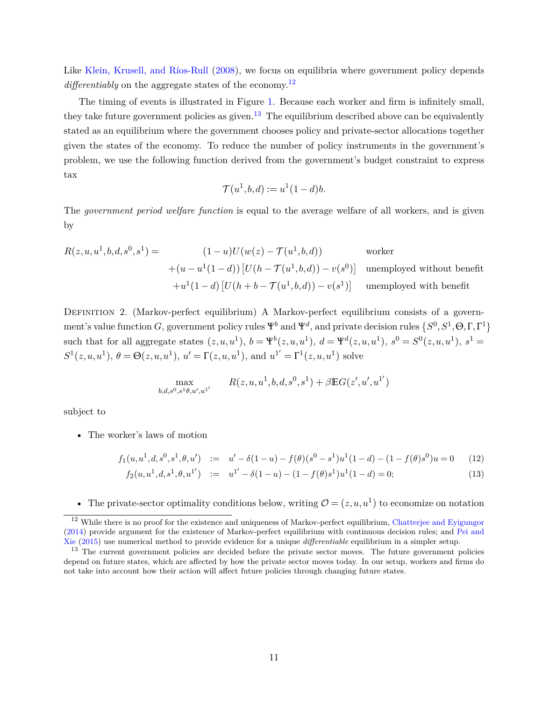Like [Klein, Krusell, and Ríos-Rull](#page-37-9) [\(2008\)](#page-37-9), we focus on equilibria where government policy depends differentiably on the aggregate states of the economy.<sup>[12](#page-9-0)</sup>

The timing of events is illustrated in Figure [1.](#page-4-1) Because each worker and firm is infinitely small, they take future government policies as given.<sup>[13](#page-9-1)</sup> The equilibrium described above can be equivalently stated as an equilibrium where the government chooses policy and private-sector allocations together given the states of the economy. To reduce the number of policy instruments in the government's problem, we use the following function derived from the government's budget constraint to express tax

$$
\mathcal{T}(u^1, b, d) := u^1(1-d)b.
$$

The *government period welfare function* is equal to the average welfare of all workers, and is given by

$$
R(z, u, u1, b, d, s0, s1) = (1 - u)U(w(z) - \mathcal{T}(u1, b, d)) \qquad \text{worker}
$$
  
+
$$
(u - u1(1 - d)) [U(h - \mathcal{T}(u1, b, d)) - v(s0)] \qquad \text{unemployed without benefit}
$$
  
+
$$
u1(1 - d) [U(h + b - \mathcal{T}(u1, b, d)) - v(s1)] \qquad \text{unemployed with benefit}
$$

Definition 2. (Markov-perfect equilibrium) A Markov-perfect equilibrium consists of a government's value function G, government policy rules  $\Psi^b$  and  $\Psi^d$ , and private decision rules  $\{S^0, S^1, \Theta, \Gamma, \Gamma^1\}$ such that for all aggregate states  $(z, u, u^1), b = \Psi^b(z, u, u^1), d = \Psi^d(z, u, u^1), s^0 = S^0(z, u, u^1), s^1 =$  $S^1(z, u, u^1), \, \theta = \Theta(z, u, u^1), \, u' = \Gamma(z, u, u^1), \, \text{and } u^{1'} = \Gamma^1(z, u, u^1)$  solve

$$
\max_{b,d,s^0,s^1\theta,u',u^{1'}} \qquad R(z,u,u^1,b,d,s^0,s^1) + \beta \mathbb{E} G(z',u',u^{1'})
$$

subject to

• The worker's laws of motion

<span id="page-9-2"></span>
$$
f_1(u, u^1, d, s^0, s^1, \theta, u') := u' - \delta(1 - u) - f(\theta)(s^0 - s^1)u^1(1 - d) - (1 - f(\theta)s^0)u = 0 \tag{12}
$$

$$
f_2(u, u^1, d, s^1, \theta, u^{1'}) := u^{1'} - \delta(1 - u) - (1 - f(\theta)s^1)u^1(1 - d) = 0;
$$
\n(13)

• The private-sector optimality conditions below, writing  $\mathcal{O} = (z, u, u^1)$  to economize on notation

<span id="page-9-0"></span><sup>&</sup>lt;sup>12</sup> While there is no proof for the existence and uniqueness of Markov-perfect equilibrium, [Chatterjee and Eyigungor](#page-36-4) [\(2014\)](#page-36-4) provide argument for the existence of Markov-perfect equilibrium with continuous decision rules; and [Pei and](#page-38-1) [Xie](#page-38-1) [\(2015\)](#page-38-1) use numerical method to provide evidence for a unique *differentiable* equilibrium in a simpler setup.

<span id="page-9-1"></span><sup>&</sup>lt;sup>13</sup> The current government policies are decided before the private sector moves. The future government policies depend on future states, which are affected by how the private sector moves today. In our setup, workers and firms do not take into account how their action will affect future policies through changing future states.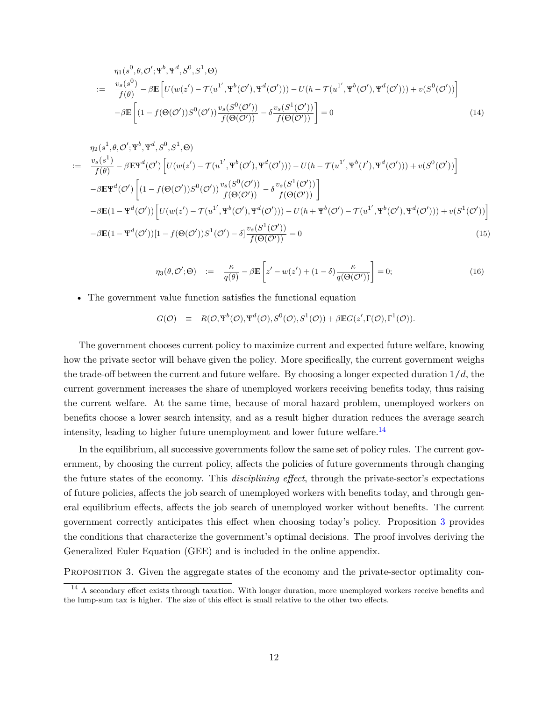$$
\eta_1(s^0, \theta, \mathcal{O}'; \Psi^b, \Psi^d, S^0, S^1, \Theta)
$$
\n
$$
:= \frac{v_s(s^0)}{f(\theta)} - \beta \mathbb{E} \left[ U(w(z') - \mathcal{T}(u^{1'}, \Psi^b(\mathcal{O}')) \Psi^d(\mathcal{O}')) - U(h - \mathcal{T}(u^{1'}, \Psi^b(\mathcal{O}')) \Psi^d(\mathcal{O}')) + v(S^0(\mathcal{O}')) \right]
$$
\n
$$
- \beta \mathbb{E} \left[ (1 - f(\Theta(\mathcal{O}')) S^0(\mathcal{O}')) \frac{v_s(S^0(\mathcal{O}'))}{f(\Theta(\mathcal{O}'))} - \delta \frac{v_s(S^1(\mathcal{O}'))}{f(\Theta(\mathcal{O}'))} \right] = 0
$$
\n(14)

$$
\eta_2(s^1, \theta, \mathcal{O}'; \Psi^b, \Psi^d, S^0, S^1, \Theta)
$$
\n
$$
:= \frac{v_s(s^1)}{f(\theta)} - \beta \mathbb{E} \Psi^d(\mathcal{O}') \left[ U(w(z') - \mathcal{T}(u^{1'}, \Psi^b(\mathcal{O}')) + U(h - \mathcal{T}(u^{1'}, \Psi^b(I'), \Psi^d(\mathcal{O}'))) + v(S^0(\mathcal{O}')) \right]
$$
\n
$$
- \beta \mathbb{E} \Psi^d(\mathcal{O}') \left[ (1 - f(\Theta(\mathcal{O}'))S^0(\mathcal{O}')) \frac{v_s(S^0(\mathcal{O}'))}{f(\Theta(\mathcal{O}'))} - \delta \frac{v_s(S^1(\mathcal{O}'))}{f(\Theta(\mathcal{O}'))} \right]
$$
\n
$$
- \beta \mathbb{E} (1 - \Psi^d(\mathcal{O}')) \left[ U(w(z') - \mathcal{T}(u^{1'}, \Psi^b(\mathcal{O}'), \Psi^d(\mathcal{O}')) - U(h + \Psi^b(\mathcal{O}') - \mathcal{T}(u^{1'}, \Psi^b(\mathcal{O}'), \Psi^d(\mathcal{O}'))) + v(S^1(\mathcal{O}')) \right]
$$
\n
$$
- \beta \mathbb{E} (1 - \Psi^d(\mathcal{O}')) [1 - f(\Theta(\mathcal{O}'))S^1(\mathcal{O}') - \delta] \frac{v_s(S^1(\mathcal{O}'))}{f(\Theta(\mathcal{O}'))} = 0
$$
\n(15)

<span id="page-10-2"></span>
$$
\eta_3(\theta, \mathcal{O}'; \Theta) \quad := \quad \frac{\kappa}{q(\theta)} - \beta \mathbb{E}\left[z' - w(z') + (1 - \delta)\frac{\kappa}{q(\Theta(\mathcal{O}'))}\right] = 0; \tag{16}
$$

• The government value function satisfies the functional equation

$$
G(\mathcal{O}) \equiv R(\mathcal{O}, \Psi^b(\mathcal{O}), \Psi^d(\mathcal{O}), S^0(\mathcal{O}), S^1(\mathcal{O})) + \beta \mathbb{E} G(z', \Gamma(\mathcal{O}), \Gamma^1(\mathcal{O})).
$$

The government chooses current policy to maximize current and expected future welfare, knowing how the private sector will behave given the policy. More specifically, the current government weighs the trade-off between the current and future welfare. By choosing a longer expected duration  $1/d$ , the current government increases the share of unemployed workers receiving benefits today, thus raising the current welfare. At the same time, because of moral hazard problem, unemployed workers on benefits choose a lower search intensity, and as a result higher duration reduces the average search intensity, leading to higher future unemployment and lower future welfare.<sup>[14](#page-10-0)</sup>

In the equilibrium, all successive governments follow the same set of policy rules. The current government, by choosing the current policy, affects the policies of future governments through changing the future states of the economy. This *disciplining effect*, through the private-sector's expectations of future policies, affects the job search of unemployed workers with benefits today, and through general equilibrium effects, affects the job search of unemployed worker without benefits. The current government correctly anticipates this effect when choosing today's policy. Proposition [3](#page-10-1) provides the conditions that characterize the government's optimal decisions. The proof involves deriving the Generalized Euler Equation (GEE) and is included in the online appendix.

<span id="page-10-1"></span>Proposition 3. Given the aggregate states of the economy and the private-sector optimality con-

<span id="page-10-0"></span><sup>&</sup>lt;sup>14</sup> A secondary effect exists through taxation. With longer duration, more unemployed workers receive benefits and the lump-sum tax is higher. The size of this effect is small relative to the other two effects.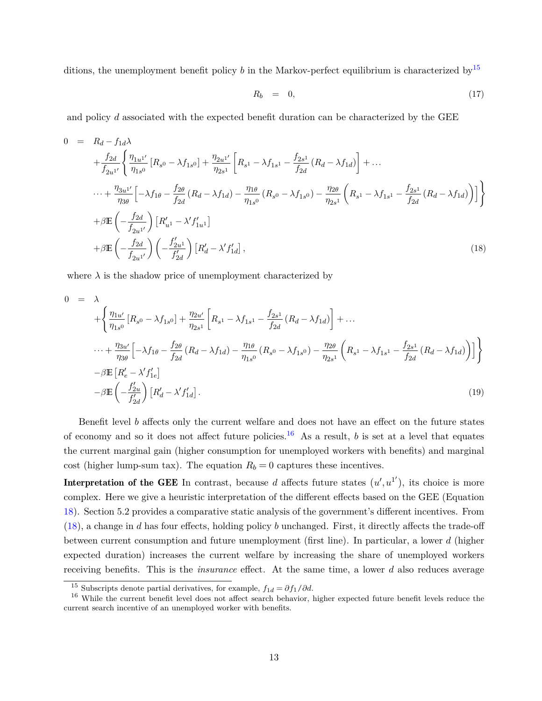ditions, the unemployment benefit policy  $b$  in the Markov-perfect equilibrium is characterized by  $15$ 

<span id="page-11-3"></span>
$$
R_b = 0, \t\t(17)
$$

and policy  $d$  associated with the expected benefit duration can be characterized by the GEE

<span id="page-11-2"></span>
$$
0 = R_d - f_{1d}\lambda
$$
  
\n
$$
+ \frac{f_{2d}}{f_{2u^{1'}}} \left\{ \frac{\eta_{1u^{1'}}}{\eta_{1s^0}} \left[ R_{s^0} - \lambda f_{1s^0} \right] + \frac{\eta_{2u^{1'}}}{\eta_{2s^1}} \left[ R_{s^1} - \lambda f_{1s^1} - \frac{f_{2s^1}}{f_{2d}} \left( R_d - \lambda f_{1d} \right) \right] + \dots \right.
$$
  
\n
$$
\dots + \frac{\eta_{3u^{1'}}}{\eta_{3\theta}} \left[ -\lambda f_{1\theta} - \frac{f_{2\theta}}{f_{2d}} \left( R_d - \lambda f_{1d} \right) - \frac{\eta_{1\theta}}{\eta_{1s^0}} \left( R_{s^0} - \lambda f_{1s^0} \right) - \frac{\eta_{2\theta}}{\eta_{2s^1}} \left( R_{s^1} - \lambda f_{1s^1} - \frac{f_{2s^1}}{f_{2d}} \left( R_d - \lambda f_{1d} \right) \right) \right] \right\}
$$
  
\n
$$
+ \beta \mathbb{E} \left( -\frac{f_{2d}}{f_{2u^{1'}}} \right) \left[ R_{u^1} - \lambda' f_{1u^1} \right]
$$
  
\n
$$
+ \beta \mathbb{E} \left( -\frac{f_{2d}}{f_{2u^{1'}}} \right) \left( -\frac{f_{2u^1}}{f_{2d}^{1'}} \right) \left[ R_d' - \lambda' f_{1d}' \right],
$$
  
\n(18)

where  $\lambda$  is the shadow price of unemployment characterized by

<span id="page-11-4"></span>
$$
0 = \lambda
$$
  
+  $\left\{ \frac{\eta_{1u'}}{\eta_{1s^0}} [R_{s^0} - \lambda f_{1s^0}] + \frac{\eta_{2u'}}{\eta_{2s^1}} \left[ R_{s^1} - \lambda f_{1s^1} - \frac{f_{2s^1}}{f_{2d}} (R_d - \lambda f_{1d}) \right] + \dots \right\}$   
-  $\dots + \frac{\eta_{3u'}}{\eta_{3\theta}} \left[ -\lambda f_{1\theta} - \frac{f_{2\theta}}{f_{2d}} (R_d - \lambda f_{1d}) - \frac{\eta_{1\theta}}{\eta_{1s^0}} (R_{s^0} - \lambda f_{1s^0}) - \frac{\eta_{2\theta}}{\eta_{2s^1}} \left( R_{s^1} - \lambda f_{1s^1} - \frac{f_{2s^1}}{f_{2d}} (R_d - \lambda f_{1d}) \right) \right] \right\}$   
-  $\beta \mathbb{E} \left[ R'_e - \lambda' f'_{1e} \right]$   
-  $\beta \mathbb{E} \left( -\frac{f'_{2u}}{f'_{2d}} \right) \left[ R'_d - \lambda' f'_{1d} \right].$  (19)

Benefit level  $b$  affects only the current welfare and does not have an effect on the future states of economy and so it does not affect future policies.<sup>[16](#page-11-1)</sup> As a result,  $b$  is set at a level that equates the current marginal gain (higher consumption for unemployed workers with benefits) and marginal cost (higher lump-sum tax). The equation  $R_b = 0$  captures these incentives.

Interpretation of the GEE In contrast, because d affects future states  $(u',u^{1'})$ , its choice is more complex. Here we give a heuristic interpretation of the different effects based on the GEE (Equation [18\)](#page-11-2). Section 5.2 provides a comparative static analysis of the government's different incentives. From  $(18)$ , a change in d has four effects, holding policy b unchanged. First, it directly affects the trade-off between current consumption and future unemployment (first line). In particular, a lower  $d$  (higher expected duration) increases the current welfare by increasing the share of unemployed workers receiving benefits. This is the *insurance* effect. At the same time, a lower d also reduces average

<span id="page-11-1"></span><span id="page-11-0"></span><sup>&</sup>lt;sup>15</sup> Subscripts denote partial derivatives, for example,  $f_{1d} = \partial f_1 / \partial d$ .

<sup>&</sup>lt;sup>16</sup> While the current benefit level does not affect search behavior, higher expected future benefit levels reduce the current search incentive of an unemployed worker with benefits.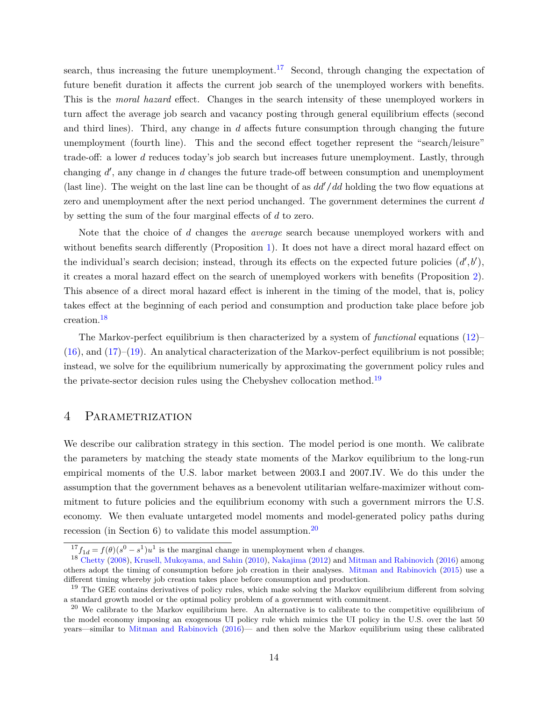search, thus increasing the future unemployment.<sup>[17](#page-12-0)</sup> Second, through changing the expectation of future benefit duration it affects the current job search of the unemployed workers with benefits. This is the *moral hazard* effect. Changes in the search intensity of these unemployed workers in turn affect the average job search and vacancy posting through general equilibrium effects (second and third lines). Third, any change in  $d$  affects future consumption through changing the future unemployment (fourth line). This and the second effect together represent the "search/leisure" trade-off: a lower  $d$  reduces today's job search but increases future unemployment. Lastly, through changing  $d'$ , any change in  $d$  changes the future trade-off between consumption and unemployment (last line). The weight on the last line can be thought of as  $dd'/dd$  holding the two flow equations at zero and unemployment after the next period unchanged. The government determines the current  $d$ by setting the sum of the four marginal effects of  $d$  to zero.

Note that the choice of d changes the *average* search because unemployed workers with and without benefits search differently (Proposition [1\)](#page-7-2). It does not have a direct moral hazard effect on the individual's search decision; instead, through its effects on the expected future policies  $(d', b')$ , it creates a moral hazard effect on the search of unemployed workers with benefits (Proposition [2\)](#page-8-0). This absence of a direct moral hazard effect is inherent in the timing of the model, that is, policy takes effect at the beginning of each period and consumption and production take place before job creation.[18](#page-12-1)

The Markov-perfect equilibrium is then characterized by a system of *functional* equations [\(12\)](#page-9-2)–  $(16)$ , and  $(17)$ – $(19)$ . An analytical characterization of the Markov-perfect equilibrium is not possible; instead, we solve for the equilibrium numerically by approximating the government policy rules and the private-sector decision rules using the Chebyshev collocation method.<sup>[19](#page-12-2)</sup>

## 4 PARAMETRIZATION

We describe our calibration strategy in this section. The model period is one month. We calibrate the parameters by matching the steady state moments of the Markov equilibrium to the long-run empirical moments of the U.S. labor market between 2003.I and 2007.IV. We do this under the assumption that the government behaves as a benevolent utilitarian welfare-maximizer without commitment to future policies and the equilibrium economy with such a government mirrors the U.S. economy. We then evaluate untargeted model moments and model-generated policy paths during recession (in Section 6) to validate this model assumption.<sup>[20](#page-12-3)</sup>

<span id="page-12-1"></span><span id="page-12-0"></span> $^{17}f_{1d} = f(\theta)(s^0 - s^1)u^1$  is the marginal change in unemployment when d changes.

<sup>18</sup> [Chetty](#page-36-5) [\(2008\)](#page-36-5), [Krusell, Mukoyama, and Sahin](#page-37-10) [\(2010\)](#page-37-10), [Nakajima](#page-38-0) [\(2012\)](#page-38-0) and [Mitman and Rabinovich](#page-37-6) [\(2016\)](#page-37-6) among others adopt the timing of consumption before job creation in their analyses. [Mitman and Rabinovich](#page-37-1) [\(2015\)](#page-37-1) use a different timing whereby job creation takes place before consumption and production.

<span id="page-12-2"></span> $19$  The GEE contains derivatives of policy rules, which make solving the Markov equilibrium different from solving a standard growth model or the optimal policy problem of a government with commitment.

<span id="page-12-3"></span> $20$  We calibrate to the Markov equilibrium here. An alternative is to calibrate to the competitive equilibrium of the model economy imposing an exogenous UI policy rule which mimics the UI policy in the U.S. over the last 50 years—similar to [Mitman and Rabinovich](#page-37-6) [\(2016\)](#page-37-6)— and then solve the Markov equilibrium using these calibrated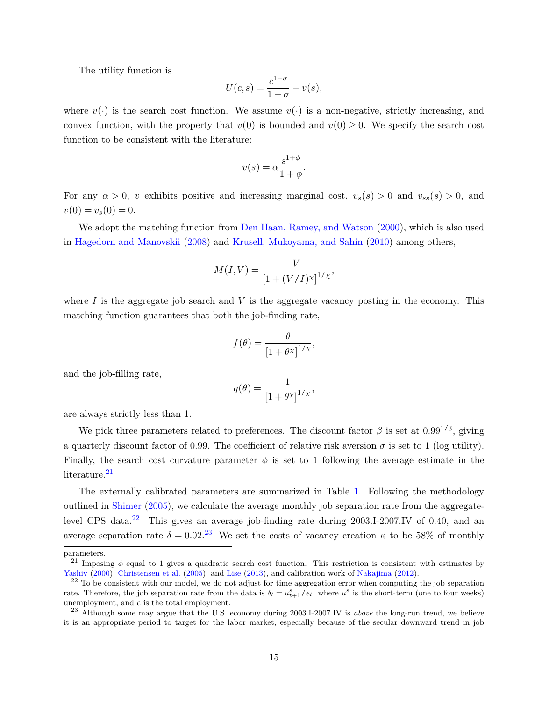The utility function is

$$
U(c,s) = \frac{c^{1-\sigma}}{1-\sigma} - v(s),
$$

where  $v(\cdot)$  is the search cost function. We assume  $v(\cdot)$  is a non-negative, strictly increasing, and convex function, with the property that  $v(0)$  is bounded and  $v(0) \geq 0$ . We specify the search cost function to be consistent with the literature:

$$
v(s) = \alpha \frac{s^{1+\phi}}{1+\phi}.
$$

For any  $\alpha > 0$ , v exhibits positive and increasing marginal cost,  $v_s(s) > 0$  and  $v_{ss}(s) > 0$ , and  $v(0) = v_s(0) = 0.$ 

We adopt the matching function from [Den Haan, Ramey, and Watson](#page-36-6) [\(2000\)](#page-36-6), which is also used in [Hagedorn and Manovskii](#page-36-2) [\(2008\)](#page-36-2) and [Krusell, Mukoyama, and Sahin](#page-37-10) [\(2010\)](#page-37-10) among others,

$$
M(I, V) = \frac{V}{[1 + (V/I)\lambda]^{1/\chi}},
$$

where  $I$  is the aggregate job search and  $V$  is the aggregate vacancy posting in the economy. This matching function guarantees that both the job-finding rate,

$$
f(\theta) = \frac{\theta}{\left[1 + \theta x\right]^{1/\chi}},
$$

and the job-filling rate,

$$
q(\theta) = \frac{1}{\left[1 + \theta x\right]^{1/\chi}},
$$

are always strictly less than 1.

We pick three parameters related to preferences. The discount factor  $\beta$  is set at  $0.99^{1/3}$ , giving a quarterly discount factor of 0.99. The coefficient of relative risk aversion  $\sigma$  is set to 1 (log utility). Finally, the search cost curvature parameter  $\phi$  is set to 1 following the average estimate in the literature.<sup>[21](#page-13-0)</sup>

The externally calibrated parameters are summarized in Table [1.](#page-14-0) Following the methodology outlined in [Shimer](#page-38-2) [\(2005\)](#page-38-2), we calculate the average monthly job separation rate from the aggregate-level CPS data.<sup>[22](#page-13-1)</sup> This gives an average job-finding rate during 2003.I-2007.IV of 0.40, and an average separation rate  $\delta = 0.02^{3}$  We set the costs of vacancy creation  $\kappa$  to be 58% of monthly

parameters.

<span id="page-13-0"></span><sup>&</sup>lt;sup>21</sup> Imposing  $\phi$  equal to 1 gives a quadratic search cost function. This restriction is consistent with estimates by [Yashiv](#page-38-3) [\(2000\)](#page-38-3), [Christensen et al.](#page-36-7) [\(2005\)](#page-36-7), and [Lise](#page-37-11) [\(2013\)](#page-37-11), and calibration work of [Nakajima](#page-38-0) [\(2012\)](#page-38-0).

<span id="page-13-1"></span> $22$  To be consistent with our model, we do not adjust for time aggregation error when computing the job separation rate. Therefore, the job separation rate from the data is  $\delta_t = u_{t+1}^s/e_t$ , where  $u^s$  is the short-term (one to four weeks) unemployment, and  $e$  is the total employment.

<span id="page-13-2"></span><sup>23</sup> Although some may argue that the U.S. economy during 2003.I-2007.IV is *above* the long-run trend, we believe it is an appropriate period to target for the labor market, especially because of the secular downward trend in job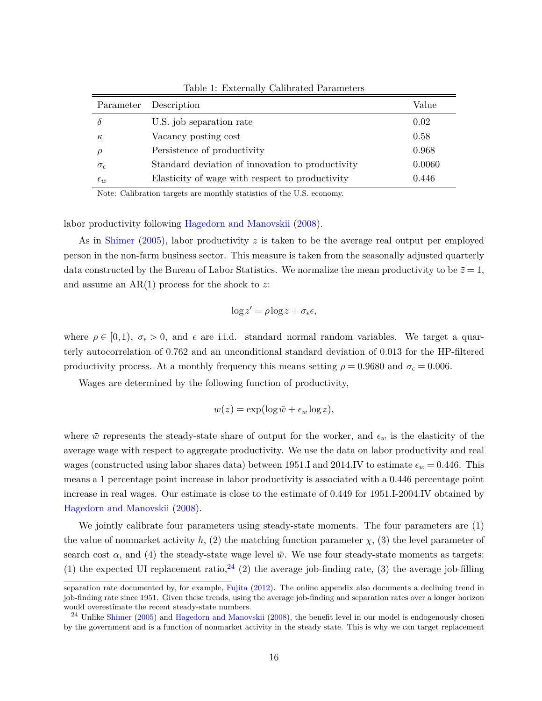| Parameter           | Description                                      | Value  |
|---------------------|--------------------------------------------------|--------|
|                     | U.S. job separation rate                         | 0.02   |
| $\kappa$            | Vacancy posting cost                             | 0.58   |
|                     | Persistence of productivity                      | 0.968  |
| $\sigma_{\epsilon}$ | Standard deviation of innovation to productivity | 0.0060 |
| $\epsilon_w$        | Elasticity of wage with respect to productivity  | 0.446  |

<span id="page-14-0"></span>Table 1: Externally Calibrated Parameters

Note: Calibration targets are monthly statistics of the U.S. economy.

labor productivity following [Hagedorn and Manovskii](#page-36-2) [\(2008\)](#page-36-2).

As in [Shimer](#page-38-2) [\(2005\)](#page-38-2), labor productivity z is taken to be the average real output per employed person in the non-farm business sector. This measure is taken from the seasonally adjusted quarterly data constructed by the Bureau of Labor Statistics. We normalize the mean productivity to be  $\bar{z} = 1$ , and assume an  $AR(1)$  process for the shock to z:

$$
\log z' = \rho \log z + \sigma_{\epsilon} \epsilon,
$$

where  $\rho \in [0,1)$ ,  $\sigma_{\epsilon} > 0$ , and  $\epsilon$  are i.i.d. standard normal random variables. We target a quarterly autocorrelation of 0.762 and an unconditional standard deviation of 0.013 for the HP-filtered productivity process. At a monthly frequency this means setting  $\rho = 0.9680$  and  $\sigma_{\epsilon} = 0.006$ .

Wages are determined by the following function of productivity,

$$
w(z) = \exp(\log \bar{w} + \epsilon_w \log z),
$$

where  $\bar{w}$  represents the steady-state share of output for the worker, and  $\epsilon_w$  is the elasticity of the average wage with respect to aggregate productivity. We use the data on labor productivity and real wages (constructed using labor shares data) between 1951.I and 2014.IV to estimate  $\epsilon_w = 0.446$ . This means a 1 percentage point increase in labor productivity is associated with a 0.446 percentage point increase in real wages. Our estimate is close to the estimate of 0.449 for 1951.I-2004.IV obtained by [Hagedorn and Manovskii](#page-36-2) [\(2008\)](#page-36-2).

We jointly calibrate four parameters using steady-state moments. The four parameters are  $(1)$ the value of nonmarket activity  $h$ , (2) the matching function parameter  $\chi$ , (3) the level parameter of search cost  $\alpha$ , and (4) the steady-state wage level  $\bar{w}$ . We use four steady-state moments as targets: (1) the expected UI replacement ratio,  $^{24}$  $^{24}$  $^{24}$  (2) the average job-finding rate, (3) the average job-filling

separation rate documented by, for example, [Fujita](#page-36-8) [\(2012\)](#page-36-8). The online appendix also documents a declining trend in job-finding rate since 1951. Given these trends, using the average job-finding and separation rates over a longer horizon would overestimate the recent steady-state numbers.

<span id="page-14-1"></span><sup>&</sup>lt;sup>24</sup> Unlike [Shimer](#page-38-2) [\(2005\)](#page-38-2) and [Hagedorn and Manovskii](#page-36-2) [\(2008\)](#page-36-2), the benefit level in our model is endogenously chosen by the government and is a function of nonmarket activity in the steady state. This is why we can target replacement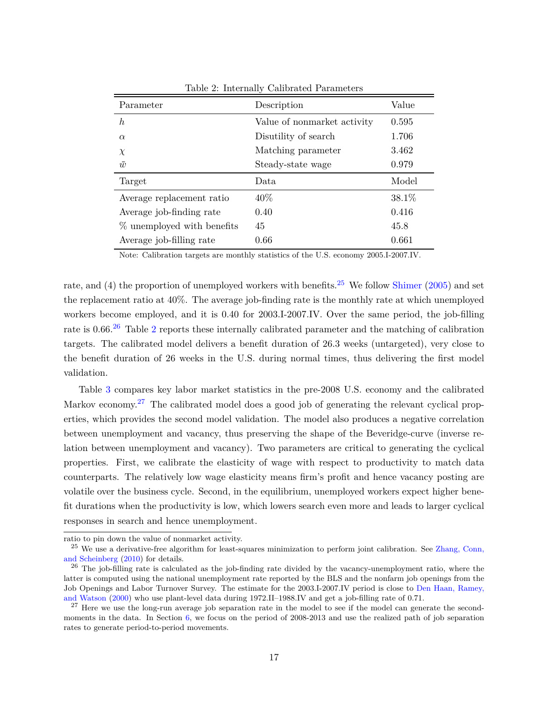| Parameter                  | Description                 | Value  |
|----------------------------|-----------------------------|--------|
| $\boldsymbol{h}$           | Value of nonmarket activity | 0.595  |
| $\alpha$                   | Disutility of search        | 1.706  |
| $\chi$                     | Matching parameter          | 3.462  |
| $\bar{w}$                  | Steady-state wage           | 0.979  |
| Target                     | Data                        | Model  |
| Average replacement ratio  | 40\%                        | 38.1\% |
| Average job-finding rate   | 0.40                        | 0.416  |
| % unemployed with benefits | 45                          | 45.8   |
| Average job-filling rate   | 0.66                        | 0.661  |

<span id="page-15-2"></span>Table 2: Internally Calibrated Parameters

Note: Calibration targets are monthly statistics of the U.S. economy 2005.I-2007.IV.

rate, and (4) the proportion of unemployed workers with benefits.<sup>[25](#page-15-0)</sup> We follow [Shimer](#page-38-2) [\(2005\)](#page-38-2) and set the replacement ratio at 40%. The average job-finding rate is the monthly rate at which unemployed workers become employed, and it is 0.40 for 2003.I-2007.IV. Over the same period, the job-filling rate is 0.66.<sup>[26](#page-15-1)</sup> Table [2](#page-15-2) reports these internally calibrated parameter and the matching of calibration targets. The calibrated model delivers a benefit duration of 26.3 weeks (untargeted), very close to the benefit duration of 26 weeks in the U.S. during normal times, thus delivering the first model validation.

Table [3](#page-16-0) compares key labor market statistics in the pre-2008 U.S. economy and the calibrated Markov economy.<sup>[27](#page-15-3)</sup> The calibrated model does a good job of generating the relevant cyclical properties, which provides the second model validation. The model also produces a negative correlation between unemployment and vacancy, thus preserving the shape of the Beveridge-curve (inverse relation between unemployment and vacancy). Two parameters are critical to generating the cyclical properties. First, we calibrate the elasticity of wage with respect to productivity to match data counterparts. The relatively low wage elasticity means firm's profit and hence vacancy posting are volatile over the business cycle. Second, in the equilibrium, unemployed workers expect higher benefit durations when the productivity is low, which lowers search even more and leads to larger cyclical responses in search and hence unemployment.

ratio to pin down the value of nonmarket activity.

<span id="page-15-0"></span><sup>&</sup>lt;sup>25</sup> We use a derivative-free algorithm for least-squares minimization to perform joint calibration. See [Zhang, Conn,](#page-38-4) [and Scheinberg](#page-38-4) [\(2010\)](#page-38-4) for details.

<span id="page-15-1"></span><sup>&</sup>lt;sup>26</sup> The job-filling rate is calculated as the job-finding rate divided by the vacancy-unemployment ratio, where the latter is computed using the national unemployment rate reported by the BLS and the nonfarm job openings from the Job Openings and Labor Turnover Survey. The estimate for the 2003.I-2007.IV period is close to [Den Haan, Ramey,](#page-36-6) [and Watson](#page-36-6) [\(2000\)](#page-36-6) who use plant-level data during 1972.II–1988.IV and get a job-filling rate of 0.71.

<span id="page-15-3"></span> $27$  Here we use the long-run average job separation rate in the model to see if the model can generate the secondmoments in the data. In Section [6,](#page-22-0) we focus on the period of 2008-2013 and use the realized path of job separation rates to generate period-to-period movements.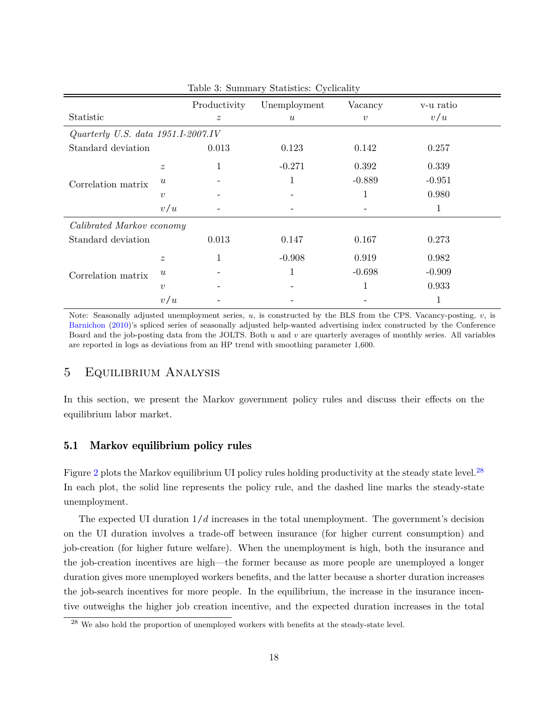|                                      |                           | Productivity     | Unemployment     | Vacancy          | v-u ratio |
|--------------------------------------|---------------------------|------------------|------------------|------------------|-----------|
| Statistic                            |                           | $\boldsymbol{z}$ | $\boldsymbol{u}$ | $\boldsymbol{v}$ | v/u       |
| Quarterly U.S. data $1951.I-2007.IV$ |                           |                  |                  |                  |           |
| Standard deviation                   |                           | 0.013            | 0.123            | 0.142            | 0.257     |
|                                      | $\boldsymbol{z}$          | 1                | $-0.271$         | 0.392            | 0.339     |
| Correlation matrix                   | $\boldsymbol{\mathit{u}}$ |                  |                  | $-0.889$         | $-0.951$  |
|                                      | $\boldsymbol{v}$          |                  |                  | 1                | 0.980     |
|                                      | v/u                       |                  |                  |                  | 1         |
| Calibrated Markov economy            |                           |                  |                  |                  |           |
| Standard deviation                   |                           | 0.013            | 0.147            | 0.167            | 0.273     |
|                                      | $\boldsymbol{z}$          | 1                | $-0.908$         | 0.919            | 0.982     |
| Correlation matrix                   | $\boldsymbol{u}$          |                  | 1                | $-0.698$         | $-0.909$  |
|                                      | $\boldsymbol{v}$          |                  |                  | 1                | 0.933     |
|                                      | v/u                       |                  |                  |                  |           |

<span id="page-16-0"></span>Table 3: Summary Statistics: Cyclicality

Note: Seasonally adjusted unemployment series,  $u$ , is constructed by the BLS from the CPS. Vacancy-posting,  $v$ , is [Barnichon](#page-36-9) [\(2010\)](#page-36-9)'s spliced series of seasonally adjusted help-wanted advertising index constructed by the Conference Board and the job-posting data from the JOLTS. Both  $u$  and  $v$  are quarterly averages of monthly series. All variables are reported in logs as deviations from an HP trend with smoothing parameter 1,600.

## 5 Equilibrium Analysis

In this section, we present the Markov government policy rules and discuss their effects on the equilibrium labor market.

## 5.1 Markov equilibrium policy rules

Figure [2](#page-17-0) plots the Markov equilibrium UI policy rules holding productivity at the steady state level.<sup>[28](#page-16-1)</sup> In each plot, the solid line represents the policy rule, and the dashed line marks the steady-state unemployment.

The expected UI duration  $1/d$  increases in the total unemployment. The government's decision on the UI duration involves a trade-off between insurance (for higher current consumption) and job-creation (for higher future welfare). When the unemployment is high, both the insurance and the job-creation incentives are high—the former because as more people are unemployed a longer duration gives more unemployed workers benefits, and the latter because a shorter duration increases the job-search incentives for more people. In the equilibrium, the increase in the insurance incentive outweighs the higher job creation incentive, and the expected duration increases in the total

<span id="page-16-1"></span> $28$  We also hold the proportion of unemployed workers with benefits at the steady-state level.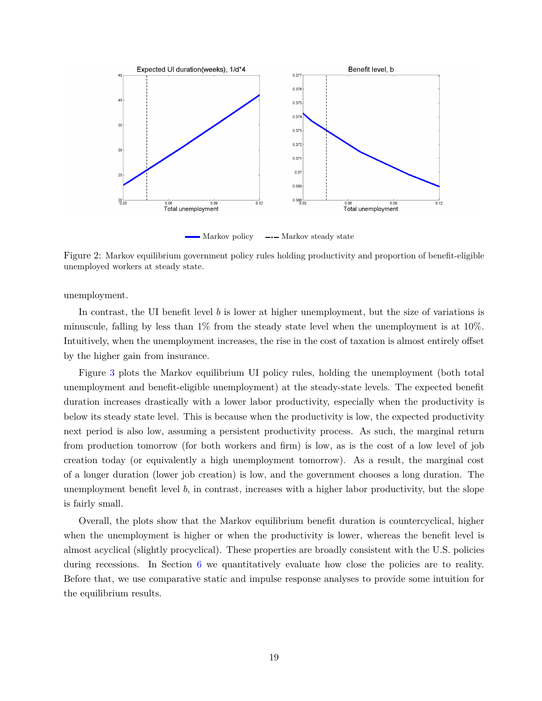

<span id="page-17-0"></span>Figure 2: Markov equilibrium government policy rules holding productivity and proportion of benefit-eligible unemployed workers at steady state.

unemployment.

In contrast, the UI benefit level  $b$  is lower at higher unemployment, but the size of variations is minuscule, falling by less than  $1\%$  from the steady state level when the unemployment is at  $10\%$ . Intuitively, when the unemployment increases, the rise in the cost of taxation is almost entirely offset by the higher gain from insurance.

Figure [3](#page-18-0) plots the Markov equilibrium UI policy rules, holding the unemployment (both total unemployment and benefit-eligible unemployment) at the steady-state levels. The expected benefit duration increases drastically with a lower labor productivity, especially when the productivity is below its steady state level. This is because when the productivity is low, the expected productivity next period is also low, assuming a persistent productivity process. As such, the marginal return from production tomorrow (for both workers and firm) is low, as is the cost of a low level of job creation today (or equivalently a high unemployment tomorrow). As a result, the marginal cost of a longer duration (lower job creation) is low, and the government chooses a long duration. The unemployment benefit level  $b$ , in contrast, increases with a higher labor productivity, but the slope is fairly small.

Overall, the plots show that the Markov equilibrium benefit duration is countercyclical, higher when the unemployment is higher or when the productivity is lower, whereas the benefit level is almost acyclical (slightly procyclical). These properties are broadly consistent with the U.S. policies during recessions. In Section [6](#page-22-0) we quantitatively evaluate how close the policies are to reality. Before that, we use comparative static and impulse response analyses to provide some intuition for the equilibrium results.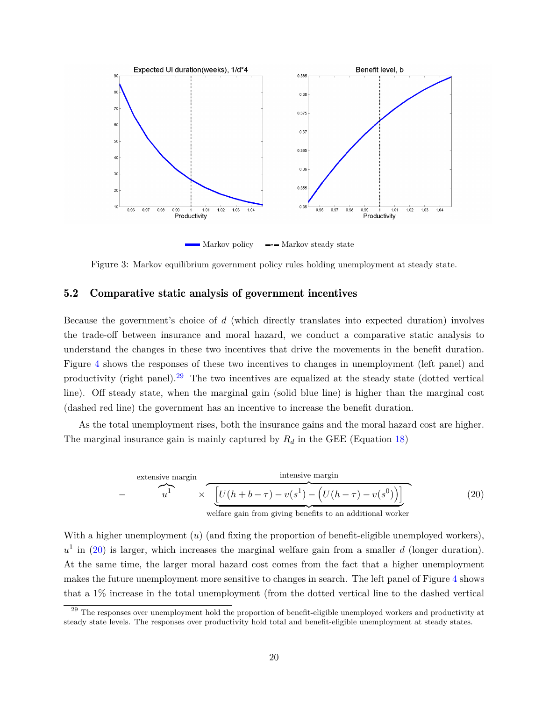

■ Markov policy → Markov steady state

<span id="page-18-0"></span>Figure 3: Markov equilibrium government policy rules holding unemployment at steady state.

## <span id="page-18-3"></span>5.2 Comparative static analysis of government incentives

Because the government's choice of  $d$  (which directly translates into expected duration) involves the trade-off between insurance and moral hazard, we conduct a comparative static analysis to understand the changes in these two incentives that drive the movements in the benefit duration. Figure [4](#page-19-0) shows the responses of these two incentives to changes in unemployment (left panel) and productivity (right panel).<sup>[29](#page-18-1)</sup> The two incentives are equalized at the steady state (dotted vertical line). Off steady state, when the marginal gain (solid blue line) is higher than the marginal cost (dashed red line) the government has an incentive to increase the benefit duration.

As the total unemployment rises, both the insurance gains and the moral hazard cost are higher. The marginal insurance gain is mainly captured by  $R_d$  in the GEE (Equation [18\)](#page-11-2)

<span id="page-18-2"></span>− extensive margin ⏞ ⏟ <sup>1</sup> × intensive margin ⏞ ⏟ [︁ (*ℎ* + − ) − ( 1 ) − (︁ (*ℎ* − ) − ( 0 ) )︁]︁ (20)

welfare gain from giving benefits to an additional worker

With a higher unemployment  $(u)$  (and fixing the proportion of benefit-eligible unemployed workers),  $u^1$  in [\(20\)](#page-18-2) is larger, which increases the marginal welfare gain from a smaller d (longer duration). At the same time, the larger moral hazard cost comes from the fact that a higher unemployment makes the future unemployment more sensitive to changes in search. The left panel of Figure [4](#page-19-0) shows that a 1% increase in the total unemployment (from the dotted vertical line to the dashed vertical

<span id="page-18-1"></span><sup>&</sup>lt;sup>29</sup> The responses over unemployment hold the proportion of benefit-eligible unemployed workers and productivity at steady state levels. The responses over productivity hold total and benefit-eligible unemployment at steady states.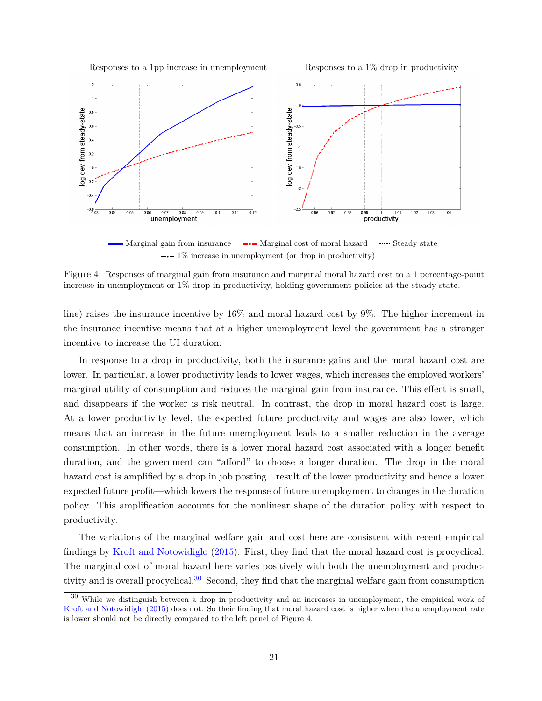Responses to a 1pp increase in unemployment Responses to a 1% drop in productivity



<span id="page-19-0"></span>■ Marginal gain from insurance ■■■ Marginal cost of moral hazard → Steady state <sup>∙</sup> 1% increase in unemployment (or drop in productivity)

Figure 4: Responses of marginal gain from insurance and marginal moral hazard cost to a 1 percentage-point increase in unemployment or 1% drop in productivity, holding government policies at the steady state.

line) raises the insurance incentive by 16% and moral hazard cost by 9%. The higher increment in the insurance incentive means that at a higher unemployment level the government has a stronger incentive to increase the UI duration.

In response to a drop in productivity, both the insurance gains and the moral hazard cost are lower. In particular, a lower productivity leads to lower wages, which increases the employed workers' marginal utility of consumption and reduces the marginal gain from insurance. This effect is small, and disappears if the worker is risk neutral. In contrast, the drop in moral hazard cost is large. At a lower productivity level, the expected future productivity and wages are also lower, which means that an increase in the future unemployment leads to a smaller reduction in the average consumption. In other words, there is a lower moral hazard cost associated with a longer benefit duration, and the government can "afford" to choose a longer duration. The drop in the moral hazard cost is amplified by a drop in job posting—result of the lower productivity and hence a lower expected future profit—which lowers the response of future unemployment to changes in the duration policy. This amplification accounts for the nonlinear shape of the duration policy with respect to productivity.

The variations of the marginal welfare gain and cost here are consistent with recent empirical findings by [Kroft and Notowidiglo](#page-37-5) [\(2015\)](#page-37-5). First, they find that the moral hazard cost is procyclical. The marginal cost of moral hazard here varies positively with both the unemployment and produc-tivity and is overall procyclical.<sup>[30](#page-19-1)</sup> Second, they find that the marginal welfare gain from consumption

<span id="page-19-1"></span><sup>&</sup>lt;sup>30</sup> While we distinguish between a drop in productivity and an increases in unemployment, the empirical work of [Kroft and Notowidiglo](#page-37-5) [\(2015\)](#page-37-5) does not. So their finding that moral hazard cost is higher when the unemployment rate is lower should not be directly compared to the left panel of Figure [4.](#page-19-0)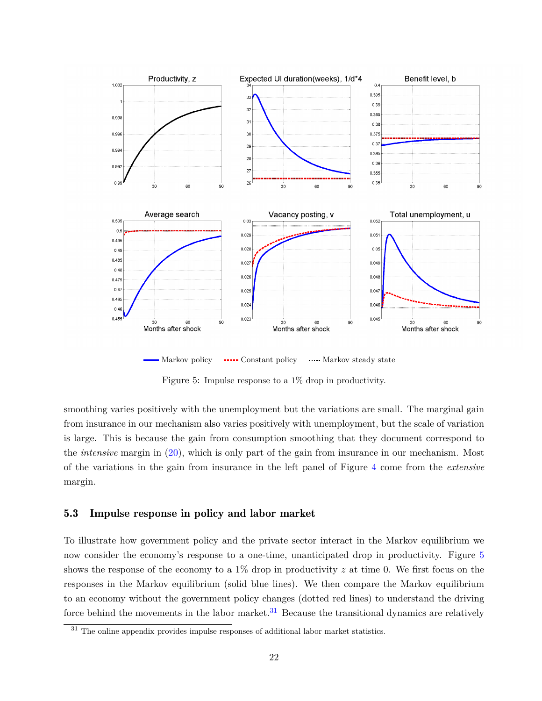

 $\blacksquare$  Markov policy  $\blacksquare$   $\blacksquare$  Constant policy  $\blacksquare$  Markov steady state

<span id="page-20-0"></span>Figure 5: Impulse response to a 1% drop in productivity.

smoothing varies positively with the unemployment but the variations are small. The marginal gain from insurance in our mechanism also varies positively with unemployment, but the scale of variation is large. This is because the gain from consumption smoothing that they document correspond to the *intensive* margin in [\(20\)](#page-18-2), which is only part of the gain from insurance in our mechanism. Most of the variations in the gain from insurance in the left panel of Figure [4](#page-19-0) come from the *extensive* margin.

## 5.3 Impulse response in policy and labor market

To illustrate how government policy and the private sector interact in the Markov equilibrium we now consider the economy's response to a one-time, unanticipated drop in productivity. Figure [5](#page-20-0) shows the response of the economy to a 1% drop in productivity  $z$  at time 0. We first focus on the responses in the Markov equilibrium (solid blue lines). We then compare the Markov equilibrium to an economy without the government policy changes (dotted red lines) to understand the driving force behind the movements in the labor market.<sup>[31](#page-20-1)</sup> Because the transitional dynamics are relatively

<span id="page-20-1"></span><sup>&</sup>lt;sup>31</sup> The online appendix provides impulse responses of additional labor market statistics.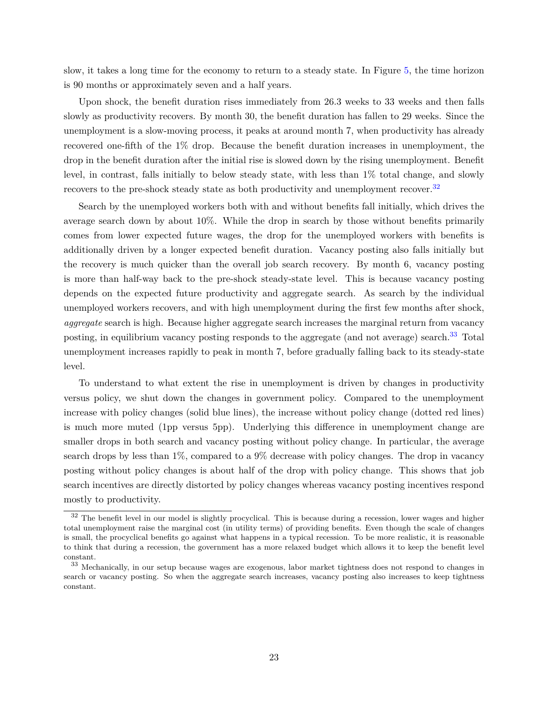slow, it takes a long time for the economy to return to a steady state. In Figure [5,](#page-20-0) the time horizon is 90 months or approximately seven and a half years.

Upon shock, the benefit duration rises immediately from 26.3 weeks to 33 weeks and then falls slowly as productivity recovers. By month 30, the benefit duration has fallen to 29 weeks. Since the unemployment is a slow-moving process, it peaks at around month 7, when productivity has already recovered one-fifth of the 1% drop. Because the benefit duration increases in unemployment, the drop in the benefit duration after the initial rise is slowed down by the rising unemployment. Benefit level, in contrast, falls initially to below steady state, with less than 1% total change, and slowly recovers to the pre-shock steady state as both productivity and unemployment recover.<sup>[32](#page-21-0)</sup>

Search by the unemployed workers both with and without benefits fall initially, which drives the average search down by about 10%. While the drop in search by those without benefits primarily comes from lower expected future wages, the drop for the unemployed workers with benefits is additionally driven by a longer expected benefit duration. Vacancy posting also falls initially but the recovery is much quicker than the overall job search recovery. By month 6, vacancy posting is more than half-way back to the pre-shock steady-state level. This is because vacancy posting depends on the expected future productivity and aggregate search. As search by the individual unemployed workers recovers, and with high unemployment during the first few months after shock, *aggregate* search is high. Because higher aggregate search increases the marginal return from vacancy posting, in equilibrium vacancy posting responds to the aggregate (and not average) search.<sup>[33](#page-21-1)</sup> Total unemployment increases rapidly to peak in month 7, before gradually falling back to its steady-state level.

To understand to what extent the rise in unemployment is driven by changes in productivity versus policy, we shut down the changes in government policy. Compared to the unemployment increase with policy changes (solid blue lines), the increase without policy change (dotted red lines) is much more muted (1pp versus 5pp). Underlying this difference in unemployment change are smaller drops in both search and vacancy posting without policy change. In particular, the average search drops by less than 1%, compared to a 9% decrease with policy changes. The drop in vacancy posting without policy changes is about half of the drop with policy change. This shows that job search incentives are directly distorted by policy changes whereas vacancy posting incentives respond mostly to productivity.

<span id="page-21-0"></span><sup>&</sup>lt;sup>32</sup> The benefit level in our model is slightly procyclical. This is because during a recession, lower wages and higher total unemployment raise the marginal cost (in utility terms) of providing benefits. Even though the scale of changes is small, the procyclical benefits go against what happens in a typical recession. To be more realistic, it is reasonable to think that during a recession, the government has a more relaxed budget which allows it to keep the benefit level constant.

<span id="page-21-1"></span><sup>33</sup> Mechanically, in our setup because wages are exogenous, labor market tightness does not respond to changes in search or vacancy posting. So when the aggregate search increases, vacancy posting also increases to keep tightness constant.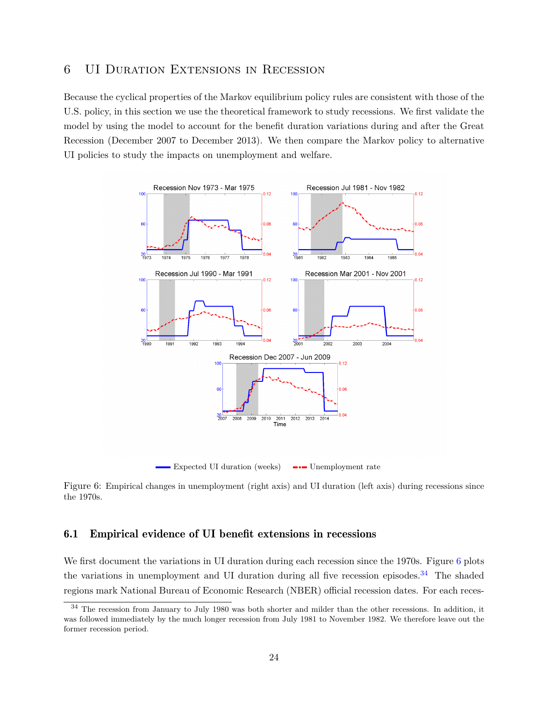## <span id="page-22-0"></span>6 UI Duration Extensions in Recession

Because the cyclical properties of the Markov equilibrium policy rules are consistent with those of the U.S. policy, in this section we use the theoretical framework to study recessions. We first validate the model by using the model to account for the benefit duration variations during and after the Great Recession (December 2007 to December 2013). We then compare the Markov policy to alternative UI policies to study the impacts on unemployment and welfare.



<u>Expected UI duration</u> (weeks) • Unemployment rate

<span id="page-22-1"></span>Figure 6: Empirical changes in unemployment (right axis) and UI duration (left axis) during recessions since the 1970s.

## 6.1 Empirical evidence of UI benefit extensions in recessions

We first document the variations in UI duration during each recession since the 1970s. Figure [6](#page-22-1) plots the variations in unemployment and UI duration during all five recession episodes.<sup>[34](#page-22-2)</sup> The shaded regions mark National Bureau of Economic Research (NBER) official recession dates. For each reces-

<span id="page-22-2"></span> $34$  The recession from January to July 1980 was both shorter and milder than the other recessions. In addition, it was followed immediately by the much longer recession from July 1981 to November 1982. We therefore leave out the former recession period.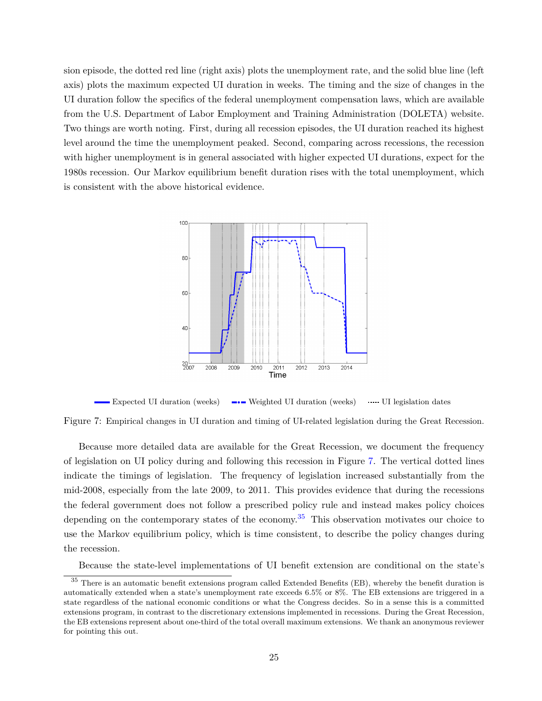sion episode, the dotted red line (right axis) plots the unemployment rate, and the solid blue line (left axis) plots the maximum expected UI duration in weeks. The timing and the size of changes in the UI duration follow the specifics of the federal unemployment compensation laws, which are available from the U.S. Department of Labor Employment and Training Administration (DOLETA) website. Two things are worth noting. First, during all recession episodes, the UI duration reached its highest level around the time the unemployment peaked. Second, comparing across recessions, the recession with higher unemployment is in general associated with higher expected UI durations, expect for the 1980s recession. Our Markov equilibrium benefit duration rises with the total unemployment, which is consistent with the above historical evidence.



<span id="page-23-0"></span>Expected UI duration (weeks) → Weighted UI duration (weeks) …… UI legislation dates

Figure 7: Empirical changes in UI duration and timing of UI-related legislation during the Great Recession.

Because more detailed data are available for the Great Recession, we document the frequency of legislation on UI policy during and following this recession in Figure [7.](#page-23-0) The vertical dotted lines indicate the timings of legislation. The frequency of legislation increased substantially from the mid-2008, especially from the late 2009, to 2011. This provides evidence that during the recessions the federal government does not follow a prescribed policy rule and instead makes policy choices depending on the contemporary states of the economy.<sup>[35](#page-23-1)</sup> This observation motivates our choice to use the Markov equilibrium policy, which is time consistent, to describe the policy changes during the recession.

<span id="page-23-1"></span>Because the state-level implementations of UI benefit extension are conditional on the state's

 $35$  There is an automatic benefit extensions program called Extended Benefits (EB), whereby the benefit duration is automatically extended when a state's unemployment rate exceeds 6.5% or 8%. The EB extensions are triggered in a state regardless of the national economic conditions or what the Congress decides. So in a sense this is a committed extensions program, in contrast to the discretionary extensions implemented in recessions. During the Great Recession, the EB extensions represent about one-third of the total overall maximum extensions. We thank an anonymous reviewer for pointing this out.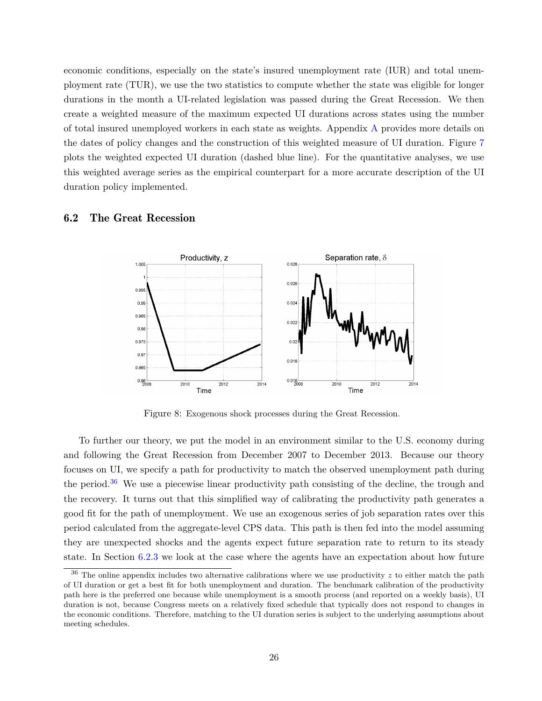economic conditions, especially on the state's insured unemployment rate (IUR) and total unemployment rate (TUR), we use the two statistics to compute whether the state was eligible for longer durations in the month a UI-related legislation was passed during the Great Recession. We then create a weighted measure of the maximum expected UI durations across states using the number of total insured unemployed workers in each state as weights. Appendix [A](#page-39-0) provides more details on the dates of policy changes and the construction of this weighted measure of UI duration. Figure [7](#page-23-0) plots the weighted expected UI duration (dashed blue line). For the quantitative analyses, we use this weighted average series as the empirical counterpart for a more accurate description of the UI duration policy implemented.

## 6.2 The Great Recession



<span id="page-24-1"></span>Figure 8: Exogenous shock processes during the Great Recession.

To further our theory, we put the model in an environment similar to the U.S. economy during and following the Great Recession from December 2007 to December 2013. Because our theory focuses on UI, we specify a path for productivity to match the observed unemployment path during the period.<sup>[36](#page-24-0)</sup> We use a piecewise linear productivity path consisting of the decline, the trough and the recovery. It turns out that this simplified way of calibrating the productivity path generates a good fit for the path of unemployment. We use an exogenous series of job separation rates over this period calculated from the aggregate-level CPS data. This path is then fed into the model assuming they are unexpected shocks and the agents expect future separation rate to return to its steady state. In Section [6.2.3](#page-30-0) we look at the case where the agents have an expectation about how future

<span id="page-24-0"></span> $36$  The online appendix includes two alternative calibrations where we use productivity  $z$  to either match the path of UI duration or get a best fit for both unemployment and duration. The benchmark calibration of the productivity path here is the preferred one because while unemployment is a smooth process (and reported on a weekly basis), UI duration is not, because Congress meets on a relatively fixed schedule that typically does not respond to changes in the economic conditions. Therefore, matching to the UI duration series is subject to the underlying assumptions about meeting schedules.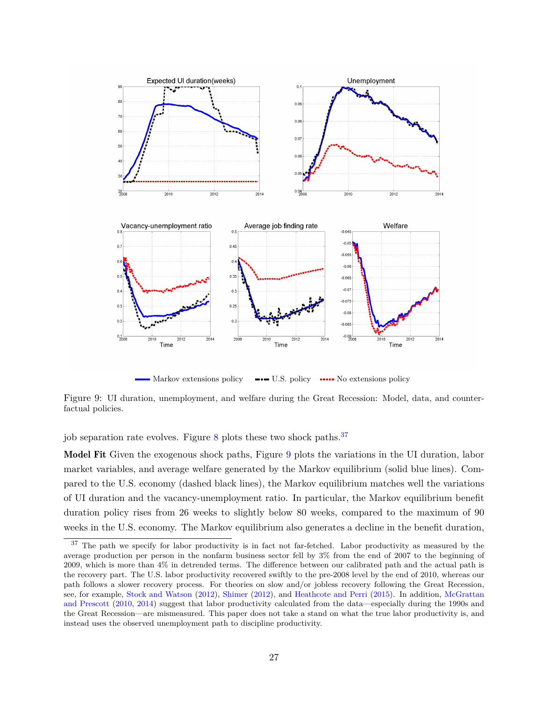

<span id="page-25-1"></span>Narkov extensions policy • ■■■ U.S. policy • ■■■ No extensions policy

Figure 9: UI duration, unemployment, and welfare during the Great Recession: Model, data, and counterfactual policies.

job separation rate evolves. Figure  $8$  plots these two shock paths.<sup>[37](#page-25-0)</sup>

Model Fit Given the exogenous shock paths, Figure [9](#page-25-1) plots the variations in the UI duration, labor market variables, and average welfare generated by the Markov equilibrium (solid blue lines). Compared to the U.S. economy (dashed black lines), the Markov equilibrium matches well the variations of UI duration and the vacancy-unemployment ratio. In particular, the Markov equilibrium benefit duration policy rises from 26 weeks to slightly below 80 weeks, compared to the maximum of 90 weeks in the U.S. economy. The Markov equilibrium also generates a decline in the benefit duration,

<span id="page-25-0"></span><sup>&</sup>lt;sup>37</sup> The path we specify for labor productivity is in fact not far-fetched. Labor productivity as measured by the average production per person in the nonfarm business sector fell by 3% from the end of 2007 to the beginning of 2009, which is more than 4% in detrended terms. The difference between our calibrated path and the actual path is the recovery part. The U.S. labor productivity recovered swiftly to the pre-2008 level by the end of 2010, whereas our path follows a slower recovery process. For theories on slow and/or jobless recovery following the Great Recession, see, for example, [Stock and Watson](#page-38-5) [\(2012\)](#page-38-5), [Shimer](#page-38-6) [\(2012\)](#page-38-6), and [Heathcote and Perri](#page-37-12) [\(2015\)](#page-37-12). In addition, [McGrattan](#page-37-13) [and Prescott](#page-37-13) [\(2010,](#page-37-13) [2014\)](#page-37-14) suggest that labor productivity calculated from the data—especially during the 1990s and the Great Recession—are mismeasured. This paper does not take a stand on what the true labor productivity is, and instead uses the observed unemployment path to discipline productivity.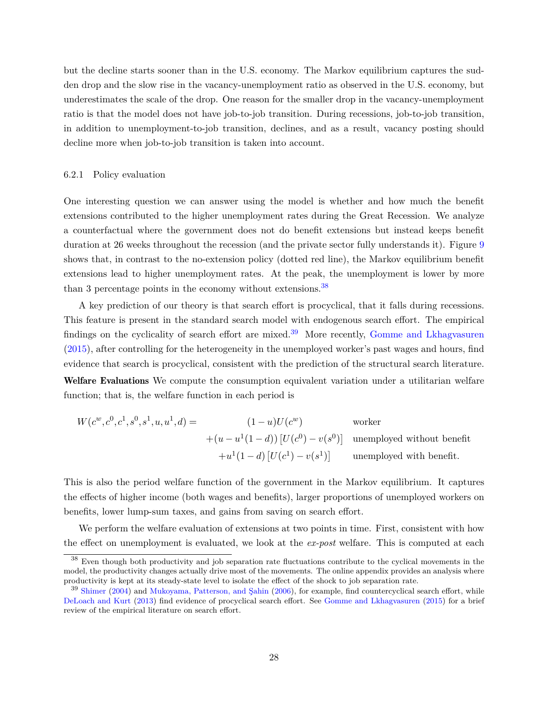but the decline starts sooner than in the U.S. economy. The Markov equilibrium captures the sudden drop and the slow rise in the vacancy-unemployment ratio as observed in the U.S. economy, but underestimates the scale of the drop. One reason for the smaller drop in the vacancy-unemployment ratio is that the model does not have job-to-job transition. During recessions, job-to-job transition, in addition to unemployment-to-job transition, declines, and as a result, vacancy posting should decline more when job-to-job transition is taken into account.

### 6.2.1 Policy evaluation

One interesting question we can answer using the model is whether and how much the benefit extensions contributed to the higher unemployment rates during the Great Recession. We analyze a counterfactual where the government does not do benefit extensions but instead keeps benefit duration at 26 weeks throughout the recession (and the private sector fully understands it). Figure [9](#page-25-1) shows that, in contrast to the no-extension policy (dotted red line), the Markov equilibrium benefit extensions lead to higher unemployment rates. At the peak, the unemployment is lower by more than 3 percentage points in the economy without extensions.<sup>[38](#page-26-0)</sup>

A key prediction of our theory is that search effort is procyclical, that it falls during recessions. This feature is present in the standard search model with endogenous search effort. The empirical findings on the cyclicality of search effort are mixed.<sup>[39](#page-26-1)</sup> More recently, [Gomme and Lkhagvasuren](#page-36-10) [\(2015\)](#page-36-10), after controlling for the heterogeneity in the unemployed worker's past wages and hours, find evidence that search is procyclical, consistent with the prediction of the structural search literature. Welfare Evaluations We compute the consumption equivalent variation under a utilitarian welfare function; that is, the welfare function in each period is

$$
W(c^w, c^0, c^1, s^0, s^1, u, u^1, d) = \n\begin{aligned}\n(1-u)U(c^w) & \text{worker} \\
+(u - u^1(1-d))\left[U(c^0) - v(s^0)\right] & \text{unemployed without benefit} \\
+ u^1(1-d)\left[U(c^1) - v(s^1)\right] & \text{unemployed with benefit.}\n\end{aligned}
$$

This is also the period welfare function of the government in the Markov equilibrium. It captures the effects of higher income (both wages and benefits), larger proportions of unemployed workers on benefits, lower lump-sum taxes, and gains from saving on search effort.

We perform the welfare evaluation of extensions at two points in time. First, consistent with how the effect on unemployment is evaluated, we look at the *ex-post* welfare. This is computed at each

<span id="page-26-0"></span><sup>38</sup> Even though both productivity and job separation rate fluctuations contribute to the cyclical movements in the model, the productivity changes actually drive most of the movements. The online appendix provides an analysis where productivity is kept at its steady-state level to isolate the effect of the shock to job separation rate.

<span id="page-26-1"></span><sup>&</sup>lt;sup>39</sup> [Shimer](#page-38-7) [\(2004\)](#page-38-7) and [Mukoyama, Patterson, and Şahin](#page-38-8) [\(2006\)](#page-38-8), for example, find countercyclical search effort, while [DeLoach and Kurt](#page-36-11) [\(2013\)](#page-36-11) find evidence of procyclical search effort. See [Gomme and Lkhagvasuren](#page-36-10) [\(2015\)](#page-36-10) for a brief review of the empirical literature on search effort.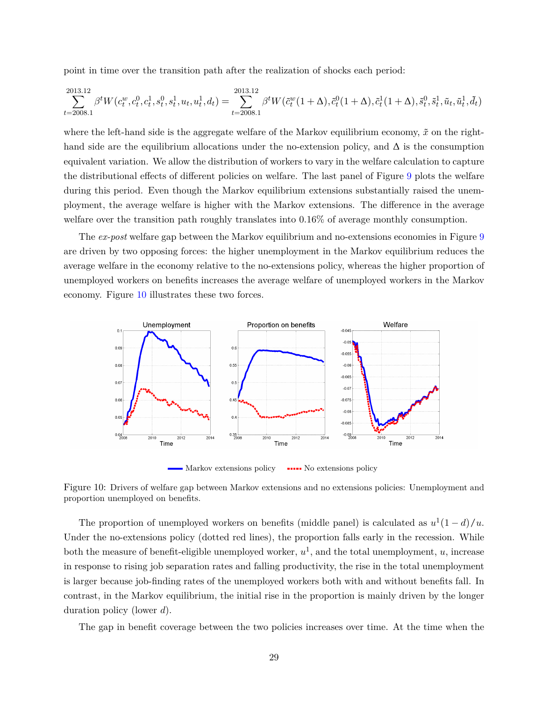point in time over the transition path after the realization of shocks each period:

$$
\sum_{t=2008.1}^{2013.12} \beta^t W(c_t^w, c_t^0, c_t^1, s_t^0, s_t^1, u_t, u_t^1, d_t) = \sum_{t=2008.1}^{2013.12} \beta^t W(\tilde{c}_t^w(1+\Delta), \tilde{c}_t^0(1+\Delta), \tilde{c}_t^1(1+\Delta), \tilde{s}_t^0, \tilde{s}_t^1, \tilde{u}_t, \tilde{u}_t^1, \tilde{d}_t)
$$

where the left-hand side is the aggregate welfare of the Markov equilibrium economy,  $\tilde{x}$  on the righthand side are the equilibrium allocations under the no-extension policy, and  $\Delta$  is the consumption equivalent variation. We allow the distribution of workers to vary in the welfare calculation to capture the distributional effects of different policies on welfare. The last panel of Figure [9](#page-25-1) plots the welfare during this period. Even though the Markov equilibrium extensions substantially raised the unemployment, the average welfare is higher with the Markov extensions. The difference in the average welfare over the transition path roughly translates into 0.16% of average monthly consumption.

The *ex-post* welfare gap between the Markov equilibrium and no-extensions economies in Figure [9](#page-25-1) are driven by two opposing forces: the higher unemployment in the Markov equilibrium reduces the average welfare in the economy relative to the no-extensions policy, whereas the higher proportion of unemployed workers on benefits increases the average welfare of unemployed workers in the Markov economy. Figure [10](#page-27-0) illustrates these two forces.



<span id="page-27-0"></span>Figure 10: Drivers of welfare gap between Markov extensions and no extensions policies: Unemployment and proportion unemployed on benefits.

The proportion of unemployed workers on benefits (middle panel) is calculated as  $u^1(1-d)/u$ . Under the no-extensions policy (dotted red lines), the proportion falls early in the recession. While both the measure of benefit-eligible unemployed worker,  $u^1$ , and the total unemployment, u, increase in response to rising job separation rates and falling productivity, the rise in the total unemployment is larger because job-finding rates of the unemployed workers both with and without benefits fall. In contrast, in the Markov equilibrium, the initial rise in the proportion is mainly driven by the longer duration policy (lower  $d$ ).

The gap in benefit coverage between the two policies increases over time. At the time when the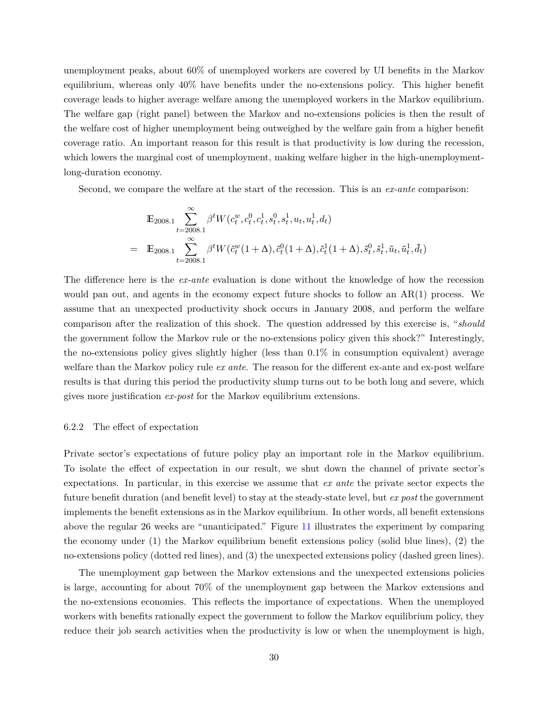unemployment peaks, about 60% of unemployed workers are covered by UI benefits in the Markov equilibrium, whereas only 40% have benefits under the no-extensions policy. This higher benefit coverage leads to higher average welfare among the unemployed workers in the Markov equilibrium. The welfare gap (right panel) between the Markov and no-extensions policies is then the result of the welfare cost of higher unemployment being outweighed by the welfare gain from a higher benefit coverage ratio. An important reason for this result is that productivity is low during the recession, which lowers the marginal cost of unemployment, making welfare higher in the high-unemploymentlong-duration economy.

Second, we compare the welfare at the start of the recession. This is an *ex-ante* comparison:

$$
\mathbb{E}_{2008.1} \sum_{t=2008.1}^{\infty} \beta^t W(c_t^w, c_t^0, c_t^1, s_t^0, s_t^1, u_t, u_t^1, d_t)
$$
\n
$$
= \mathbb{E}_{2008.1} \sum_{t=2008.1}^{\infty} \beta^t W(\tilde{c}_t^w (1+\Delta), \tilde{c}_t^0 (1+\Delta), \tilde{c}_t^1 (1+\Delta), \tilde{s}_t^0, \tilde{s}_t^1, \tilde{u}_t, \tilde{u}_t^1, \tilde{d}_t)
$$

The difference here is the *ex-ante* evaluation is done without the knowledge of how the recession would pan out, and agents in the economy expect future shocks to follow an  $AR(1)$  process. We assume that an unexpected productivity shock occurs in January 2008, and perform the welfare comparison after the realization of this shock. The question addressed by this exercise is, "*should* the government follow the Markov rule or the no-extensions policy given this shock?" Interestingly, the no-extensions policy gives slightly higher (less than 0.1% in consumption equivalent) average welfare than the Markov policy rule *ex ante*. The reason for the different ex-ante and ex-post welfare results is that during this period the productivity slump turns out to be both long and severe, which gives more justification *ex-post* for the Markov equilibrium extensions.

### 6.2.2 The effect of expectation

Private sector's expectations of future policy play an important role in the Markov equilibrium. To isolate the effect of expectation in our result, we shut down the channel of private sector's expectations. In particular, in this exercise we assume that *ex ante* the private sector expects the future benefit duration (and benefit level) to stay at the steady-state level, but *ex post* the government implements the benefit extensions as in the Markov equilibrium. In other words, all benefit extensions above the regular 26 weeks are "unanticipated." Figure [11](#page-29-0) illustrates the experiment by comparing the economy under (1) the Markov equilibrium benefit extensions policy (solid blue lines), (2) the no-extensions policy (dotted red lines), and (3) the unexpected extensions policy (dashed green lines).

The unemployment gap between the Markov extensions and the unexpected extensions policies is large, accounting for about 70% of the unemployment gap between the Markov extensions and the no-extensions economies. This reflects the importance of expectations. When the unemployed workers with benefits rationally expect the government to follow the Markov equilibrium policy, they reduce their job search activities when the productivity is low or when the unemployment is high,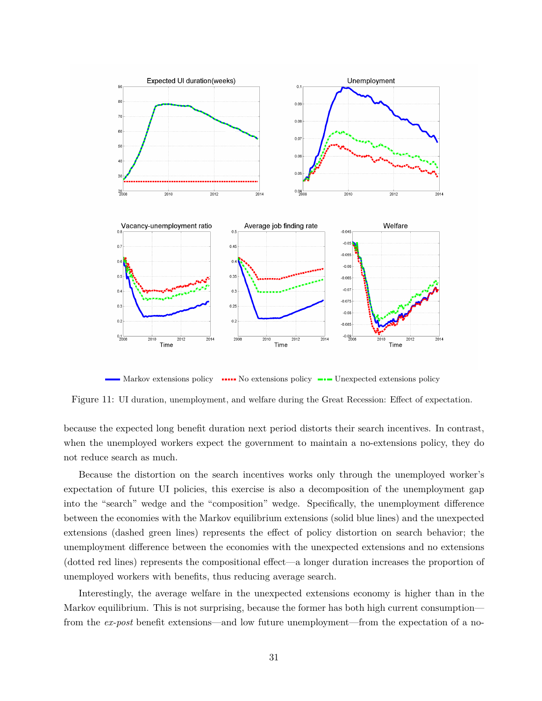

<span id="page-29-0"></span>Narkov extensions policy ••••••• No extensions policy ••• Unexpected extensions policy

Figure 11: UI duration, unemployment, and welfare during the Great Recession: Effect of expectation.

because the expected long benefit duration next period distorts their search incentives. In contrast, when the unemployed workers expect the government to maintain a no-extensions policy, they do not reduce search as much.

Because the distortion on the search incentives works only through the unemployed worker's expectation of future UI policies, this exercise is also a decomposition of the unemployment gap into the "search" wedge and the "composition" wedge. Specifically, the unemployment difference between the economies with the Markov equilibrium extensions (solid blue lines) and the unexpected extensions (dashed green lines) represents the effect of policy distortion on search behavior; the unemployment difference between the economies with the unexpected extensions and no extensions (dotted red lines) represents the compositional effect—a longer duration increases the proportion of unemployed workers with benefits, thus reducing average search.

Interestingly, the average welfare in the unexpected extensions economy is higher than in the Markov equilibrium. This is not surprising, because the former has both high current consumption from the *ex-post* benefit extensions—and low future unemployment—from the expectation of a no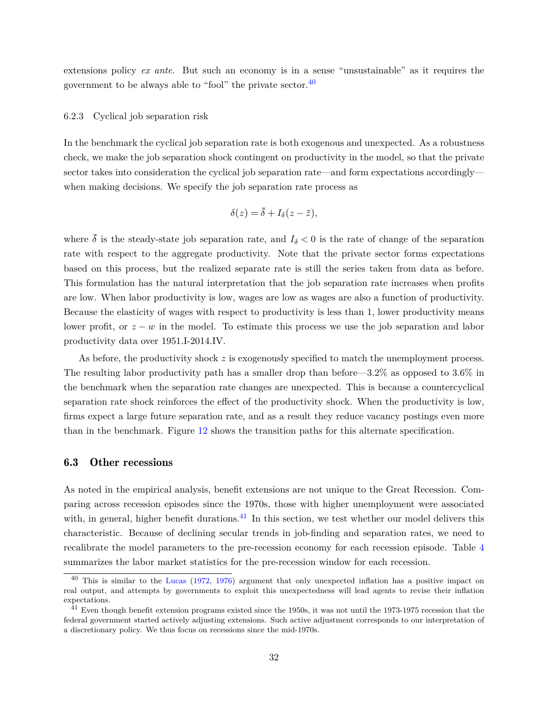extensions policy *ex ante*. But such an economy is in a sense "unsustainable" as it requires the government to be always able to "fool" the private sector. $40$ 

### <span id="page-30-0"></span>6.2.3 Cyclical job separation risk

In the benchmark the cyclical job separation rate is both exogenous and unexpected. As a robustness check, we make the job separation shock contingent on productivity in the model, so that the private sector takes into consideration the cyclical job separation rate—and form expectations accordingly when making decisions. We specify the job separation rate process as

$$
\delta(z) = \bar{\delta} + I_{\delta}(z - \bar{z}),
$$

where  $\bar{\delta}$  is the steady-state job separation rate, and  $I_{\delta} < 0$  is the rate of change of the separation rate with respect to the aggregate productivity. Note that the private sector forms expectations based on this process, but the realized separate rate is still the series taken from data as before. This formulation has the natural interpretation that the job separation rate increases when profits are low. When labor productivity is low, wages are low as wages are also a function of productivity. Because the elasticity of wages with respect to productivity is less than 1, lower productivity means lower profit, or  $z - w$  in the model. To estimate this process we use the job separation and labor productivity data over 1951.I-2014.IV.

As before, the productivity shock  $z$  is exogenously specified to match the unemployment process. The resulting labor productivity path has a smaller drop than before—3.2% as opposed to  $3.6\%$  in the benchmark when the separation rate changes are unexpected. This is because a countercyclical separation rate shock reinforces the effect of the productivity shock. When the productivity is low, firms expect a large future separation rate, and as a result they reduce vacancy postings even more than in the benchmark. Figure [12](#page-31-0) shows the transition paths for this alternate specification.

### 6.3 Other recessions

As noted in the empirical analysis, benefit extensions are not unique to the Great Recession. Comparing across recession episodes since the 1970s, those with higher unemployment were associated with, in general, higher benefit durations.<sup>[41](#page-30-2)</sup> In this section, we test whether our model delivers this characteristic. Because of declining secular trends in job-finding and separation rates, we need to recalibrate the model parameters to the pre-recession economy for each recession episode. Table [4](#page-32-0) summarizes the labor market statistics for the pre-recession window for each recession.

<span id="page-30-1"></span>This is similar to the [Lucas](#page-37-15) [\(1972,](#page-37-15) [1976\)](#page-37-16) argument that only unexpected inflation has a positive impact on real output, and attempts by governments to exploit this unexpectedness will lead agents to revise their inflation expectations.

<span id="page-30-2"></span> $^{41}$  Even though benefit extension programs existed since the 1950s, it was not until the 1973-1975 recession that the federal government started actively adjusting extensions. Such active adjustment corresponds to our interpretation of a discretionary policy. We thus focus on recessions since the mid-1970s.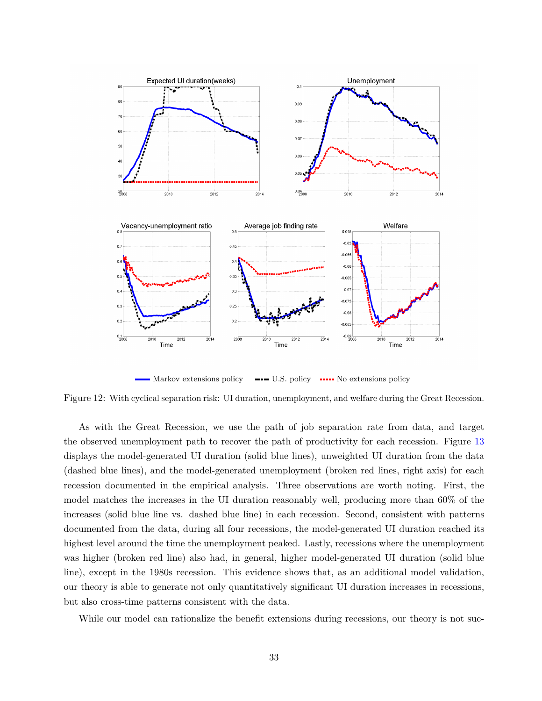

<span id="page-31-0"></span>■ Markov extensions policy ■■■ U.S. policy ■■■ No extensions policy

Figure 12: With cyclical separation risk: UI duration, unemployment, and welfare during the Great Recession.

As with the Great Recession, we use the path of job separation rate from data, and target the observed unemployment path to recover the path of productivity for each recession. Figure [13](#page-32-1) displays the model-generated UI duration (solid blue lines), unweighted UI duration from the data (dashed blue lines), and the model-generated unemployment (broken red lines, right axis) for each recession documented in the empirical analysis. Three observations are worth noting. First, the model matches the increases in the UI duration reasonably well, producing more than 60% of the increases (solid blue line vs. dashed blue line) in each recession. Second, consistent with patterns documented from the data, during all four recessions, the model-generated UI duration reached its highest level around the time the unemployment peaked. Lastly, recessions where the unemployment was higher (broken red line) also had, in general, higher model-generated UI duration (solid blue line), except in the 1980s recession. This evidence shows that, as an additional model validation, our theory is able to generate not only quantitatively significant UI duration increases in recessions, but also cross-time patterns consistent with the data.

While our model can rationalize the benefit extensions during recessions, our theory is not suc-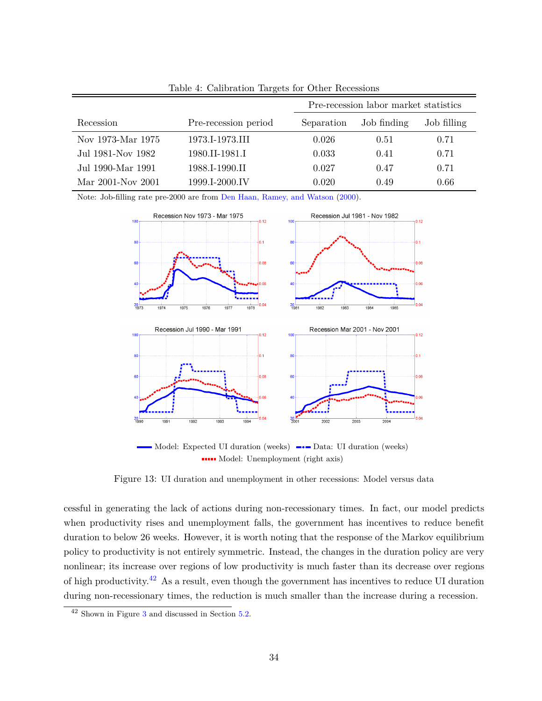|                   |                      |            | Pre-recession labor market statistics |             |  |
|-------------------|----------------------|------------|---------------------------------------|-------------|--|
| Recession         | Pre-recession period | Separation | Job finding                           | Job filling |  |
| Nov 1973-Mar 1975 | 1973.I-1973.III      | 0.026      | 0.51                                  | 0.71        |  |
| Jul 1981-Nov 1982 | 1980.II-1981.I       | 0.033      | 0.41                                  | 0.71        |  |
| Jul 1990-Mar 1991 | 1988.I-1990.II       | 0.027      | 0.47                                  | 0.71        |  |
| Mar 2001-Nov 2001 | 1999.I-2000.IV       | 0.020      | 0.49                                  | 0.66        |  |

<span id="page-32-0"></span>Table 4: Calibration Targets for Other Recessions

Note: Job-filling rate pre-2000 are from [Den Haan, Ramey, and Watson](#page-36-6) [\(2000\)](#page-36-6).



<span id="page-32-1"></span>■ Model: Expected UI duration (weeks) ■■■ Data: UI duration (weeks) Model: Unemployment (right axis)

Figure 13: UI duration and unemployment in other recessions: Model versus data

cessful in generating the lack of actions during non-recessionary times. In fact, our model predicts when productivity rises and unemployment falls, the government has incentives to reduce benefit duration to below 26 weeks. However, it is worth noting that the response of the Markov equilibrium policy to productivity is not entirely symmetric. Instead, the changes in the duration policy are very nonlinear; its increase over regions of low productivity is much faster than its decrease over regions of high productivity.<sup>[42](#page-32-2)</sup> As a result, even though the government has incentives to reduce UI duration during non-recessionary times, the reduction is much smaller than the increase during a recession.

<span id="page-32-2"></span><sup>42</sup> Shown in Figure [3](#page-18-0) and discussed in Section [5.2.](#page-18-3)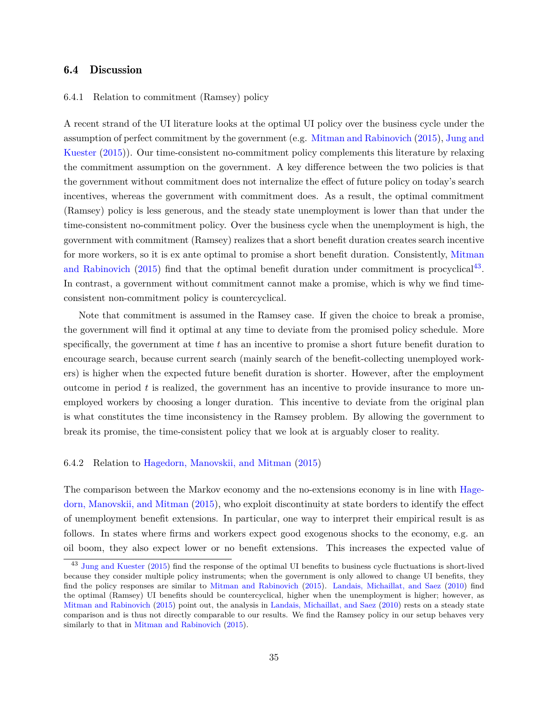## <span id="page-33-0"></span>6.4 Discussion

## 6.4.1 Relation to commitment (Ramsey) policy

A recent strand of the UI literature looks at the optimal UI policy over the business cycle under the assumption of perfect commitment by the government (e.g. [Mitman and Rabinovich](#page-37-1) [\(2015\)](#page-37-1), [Jung and](#page-37-2) [Kuester](#page-37-2) [\(2015\)](#page-37-2)). Our time-consistent no-commitment policy complements this literature by relaxing the commitment assumption on the government. A key difference between the two policies is that the government without commitment does not internalize the effect of future policy on today's search incentives, whereas the government with commitment does. As a result, the optimal commitment (Ramsey) policy is less generous, and the steady state unemployment is lower than that under the time-consistent no-commitment policy. Over the business cycle when the unemployment is high, the government with commitment (Ramsey) realizes that a short benefit duration creates search incentive for more workers, so it is ex ante optimal to promise a short benefit duration. Consistently, [Mitman](#page-37-1) [and Rabinovich](#page-37-1) [\(2015\)](#page-37-1) find that the optimal benefit duration under commitment is procyclical<sup>[43](#page-33-1)</sup>. In contrast, a government without commitment cannot make a promise, which is why we find timeconsistent non-commitment policy is countercyclical.

Note that commitment is assumed in the Ramsey case. If given the choice to break a promise, the government will find it optimal at any time to deviate from the promised policy schedule. More specifically, the government at time  $t$  has an incentive to promise a short future benefit duration to encourage search, because current search (mainly search of the benefit-collecting unemployed workers) is higher when the expected future benefit duration is shorter. However, after the employment outcome in period  $t$  is realized, the government has an incentive to provide insurance to more unemployed workers by choosing a longer duration. This incentive to deviate from the original plan is what constitutes the time inconsistency in the Ramsey problem. By allowing the government to break its promise, the time-consistent policy that we look at is arguably closer to reality.

### 6.4.2 Relation to [Hagedorn, Manovskii, and Mitman](#page-36-0) [\(2015\)](#page-36-0)

The comparison between the Markov economy and the no-extensions economy is in line with [Hage](#page-36-0)[dorn, Manovskii, and Mitman](#page-36-0) [\(2015\)](#page-36-0), who exploit discontinuity at state borders to identify the effect of unemployment benefit extensions. In particular, one way to interpret their empirical result is as follows. In states where firms and workers expect good exogenous shocks to the economy, e.g. an oil boom, they also expect lower or no benefit extensions. This increases the expected value of

<span id="page-33-1"></span><sup>&</sup>lt;sup>43</sup> [Jung and Kuester](#page-37-2) [\(2015\)](#page-37-2) find the response of the optimal UI benefits to business cycle fluctuations is short-lived because they consider multiple policy instruments; when the government is only allowed to change UI benefits, they find the policy responses are similar to [Mitman and Rabinovich](#page-37-1) [\(2015\)](#page-37-1). [Landais, Michaillat, and Saez](#page-37-8) [\(2010\)](#page-37-8) find the optimal (Ramsey) UI benefits should be countercyclical, higher when the unemployment is higher; however, as [Mitman and Rabinovich](#page-37-1) [\(2015\)](#page-37-1) point out, the analysis in [Landais, Michaillat, and Saez](#page-37-8) [\(2010\)](#page-37-8) rests on a steady state comparison and is thus not directly comparable to our results. We find the Ramsey policy in our setup behaves very similarly to that in [Mitman and Rabinovich](#page-37-1) [\(2015\)](#page-37-1).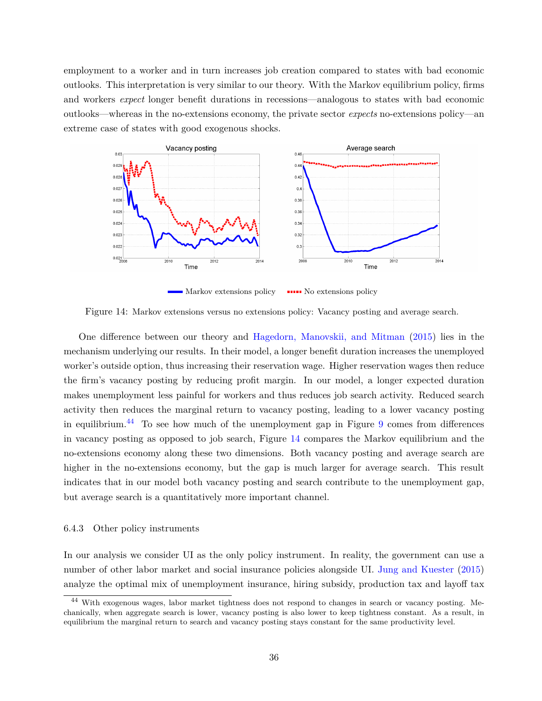employment to a worker and in turn increases job creation compared to states with bad economic outlooks. This interpretation is very similar to our theory. With the Markov equilibrium policy, firms and workers *expect* longer benefit durations in recessions—analogous to states with bad economic outlooks—whereas in the no-extensions economy, the private sector *expects* no-extensions policy—an extreme case of states with good exogenous shocks.



<span id="page-34-1"></span> $\blacksquare$  Markov extensions policy  $\blacksquare$  No extensions policy

Figure 14: Markov extensions versus no extensions policy: Vacancy posting and average search.

One difference between our theory and [Hagedorn, Manovskii, and Mitman](#page-36-0) [\(2015\)](#page-36-0) lies in the mechanism underlying our results. In their model, a longer benefit duration increases the unemployed worker's outside option, thus increasing their reservation wage. Higher reservation wages then reduce the firm's vacancy posting by reducing profit margin. In our model, a longer expected duration makes unemployment less painful for workers and thus reduces job search activity. Reduced search activity then reduces the marginal return to vacancy posting, leading to a lower vacancy posting in equilibrium.<sup>[44](#page-34-0)</sup> To see how much of the unemployment gap in Figure  $9$  comes from differences in vacancy posting as opposed to job search, Figure [14](#page-34-1) compares the Markov equilibrium and the no-extensions economy along these two dimensions. Both vacancy posting and average search are higher in the no-extensions economy, but the gap is much larger for average search. This result indicates that in our model both vacancy posting and search contribute to the unemployment gap, but average search is a quantitatively more important channel.

### 6.4.3 Other policy instruments

In our analysis we consider UI as the only policy instrument. In reality, the government can use a number of other labor market and social insurance policies alongside UI. [Jung and Kuester](#page-37-2) [\(2015\)](#page-37-2) analyze the optimal mix of unemployment insurance, hiring subsidy, production tax and layoff tax

<span id="page-34-0"></span><sup>44</sup> With exogenous wages, labor market tightness does not respond to changes in search or vacancy posting. Mechanically, when aggregate search is lower, vacancy posting is also lower to keep tightness constant. As a result, in equilibrium the marginal return to search and vacancy posting stays constant for the same productivity level.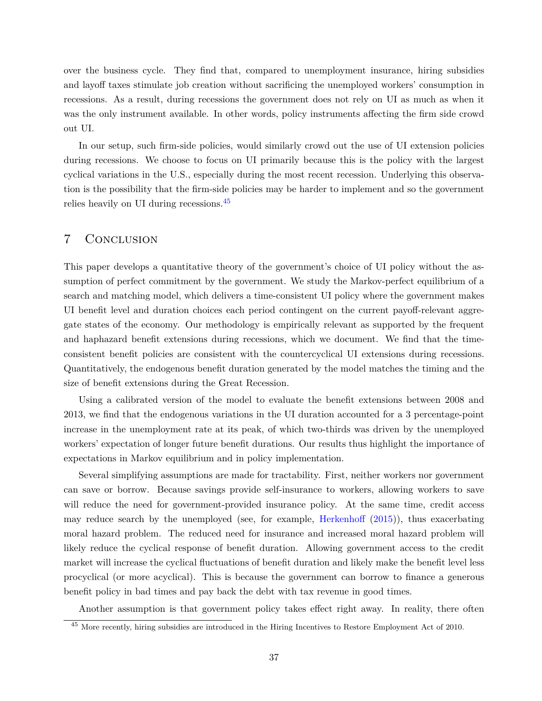over the business cycle. They find that, compared to unemployment insurance, hiring subsidies and layoff taxes stimulate job creation without sacrificing the unemployed workers' consumption in recessions. As a result, during recessions the government does not rely on UI as much as when it was the only instrument available. In other words, policy instruments affecting the firm side crowd out UI.

In our setup, such firm-side policies, would similarly crowd out the use of UI extension policies during recessions. We choose to focus on UI primarily because this is the policy with the largest cyclical variations in the U.S., especially during the most recent recession. Underlying this observation is the possibility that the firm-side policies may be harder to implement and so the government relies heavily on UI during recessions.[45](#page-35-0)

## 7 Conclusion

This paper develops a quantitative theory of the government's choice of UI policy without the assumption of perfect commitment by the government. We study the Markov-perfect equilibrium of a search and matching model, which delivers a time-consistent UI policy where the government makes UI benefit level and duration choices each period contingent on the current payoff-relevant aggregate states of the economy. Our methodology is empirically relevant as supported by the frequent and haphazard benefit extensions during recessions, which we document. We find that the timeconsistent benefit policies are consistent with the countercyclical UI extensions during recessions. Quantitatively, the endogenous benefit duration generated by the model matches the timing and the size of benefit extensions during the Great Recession.

Using a calibrated version of the model to evaluate the benefit extensions between 2008 and 2013, we find that the endogenous variations in the UI duration accounted for a 3 percentage-point increase in the unemployment rate at its peak, of which two-thirds was driven by the unemployed workers' expectation of longer future benefit durations. Our results thus highlight the importance of expectations in Markov equilibrium and in policy implementation.

Several simplifying assumptions are made for tractability. First, neither workers nor government can save or borrow. Because savings provide self-insurance to workers, allowing workers to save will reduce the need for government-provided insurance policy. At the same time, credit access may reduce search by the unemployed (see, for example, [Herkenhoff](#page-37-17) [\(2015\)](#page-37-17)), thus exacerbating moral hazard problem. The reduced need for insurance and increased moral hazard problem will likely reduce the cyclical response of benefit duration. Allowing government access to the credit market will increase the cyclical fluctuations of benefit duration and likely make the benefit level less procyclical (or more acyclical). This is because the government can borrow to finance a generous benefit policy in bad times and pay back the debt with tax revenue in good times.

Another assumption is that government policy takes effect right away. In reality, there often

<span id="page-35-0"></span><sup>45</sup> More recently, hiring subsidies are introduced in the Hiring Incentives to Restore Employment Act of 2010.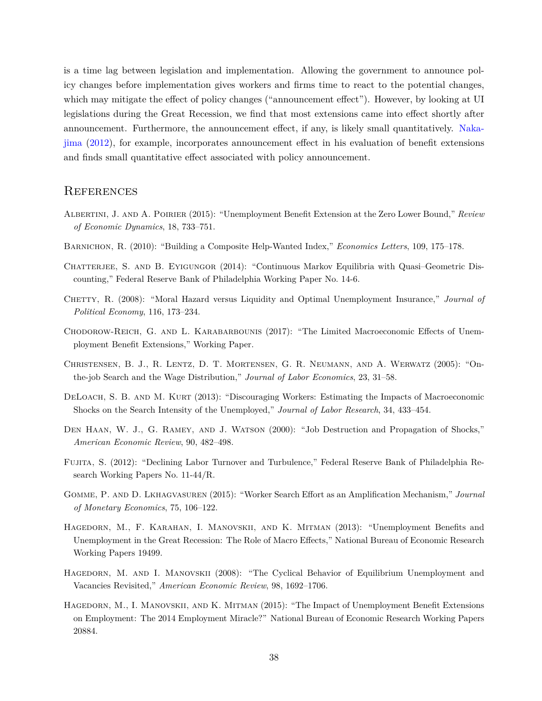is a time lag between legislation and implementation. Allowing the government to announce policy changes before implementation gives workers and firms time to react to the potential changes, which may mitigate the effect of policy changes ("announcement effect"). However, by looking at UI legislations during the Great Recession, we find that most extensions came into effect shortly after announcement. Furthermore, the announcement effect, if any, is likely small quantitatively. [Naka](#page-38-0)[jima](#page-38-0) [\(2012\)](#page-38-0), for example, incorporates announcement effect in his evaluation of benefit extensions and finds small quantitative effect associated with policy announcement.

## **REFERENCES**

- <span id="page-36-12"></span>Albertini, J. and A. Poirier (2015): "Unemployment Benefit Extension at the Zero Lower Bound," *Review of Economic Dynamics*, 18, 733–751.
- <span id="page-36-9"></span>Barnichon, R. (2010): "Building a Composite Help-Wanted Index," *Economics Letters*, 109, 175–178.
- <span id="page-36-4"></span>Chatterjee, S. and B. Eyigungor (2014): "Continuous Markov Equilibria with Quasi–Geometric Discounting," Federal Reserve Bank of Philadelphia Working Paper No. 14-6.
- <span id="page-36-5"></span>Chetty, R. (2008): "Moral Hazard versus Liquidity and Optimal Unemployment Insurance," *Journal of Political Economy*, 116, 173–234.
- <span id="page-36-1"></span>Chodorow-Reich, G. and L. Karabarbounis (2017): "The Limited Macroeconomic Effects of Unemployment Benefit Extensions," Working Paper.
- <span id="page-36-7"></span>Christensen, B. J., R. Lentz, D. T. Mortensen, G. R. Neumann, and A. Werwatz (2005): "Onthe-job Search and the Wage Distribution," *Journal of Labor Economics*, 23, 31–58.
- <span id="page-36-11"></span>DeLoach, S. B. and M. Kurt (2013): "Discouraging Workers: Estimating the Impacts of Macroeconomic Shocks on the Search Intensity of the Unemployed," *Journal of Labor Research*, 34, 433–454.
- <span id="page-36-6"></span>DEN HAAN, W. J., G. RAMEY, AND J. WATSON (2000): "Job Destruction and Propagation of Shocks," *American Economic Review*, 90, 482–498.
- <span id="page-36-8"></span>Fujita, S. (2012): "Declining Labor Turnover and Turbulence," Federal Reserve Bank of Philadelphia Research Working Papers No. 11-44/R.
- <span id="page-36-10"></span>Gomme, P. and D. Lkhagvasuren (2015): "Worker Search Effort as an Amplification Mechanism," *Journal of Monetary Economics*, 75, 106–122.
- <span id="page-36-3"></span>HAGEDORN, M., F. KARAHAN, I. MANOVSKII, AND K. MITMAN (2013): "Unemployment Benefits and Unemployment in the Great Recession: The Role of Macro Effects," National Bureau of Economic Research Working Papers 19499.
- <span id="page-36-2"></span>HAGEDORN, M. AND I. MANOVSKII (2008): "The Cyclical Behavior of Equilibrium Unemployment and Vacancies Revisited," *American Economic Review*, 98, 1692–1706.
- <span id="page-36-0"></span>HAGEDORN, M., I. MANOVSKII, AND K. MITMAN (2015): "The Impact of Unemployment Benefit Extensions on Employment: The 2014 Employment Miracle?" National Bureau of Economic Research Working Papers 20884.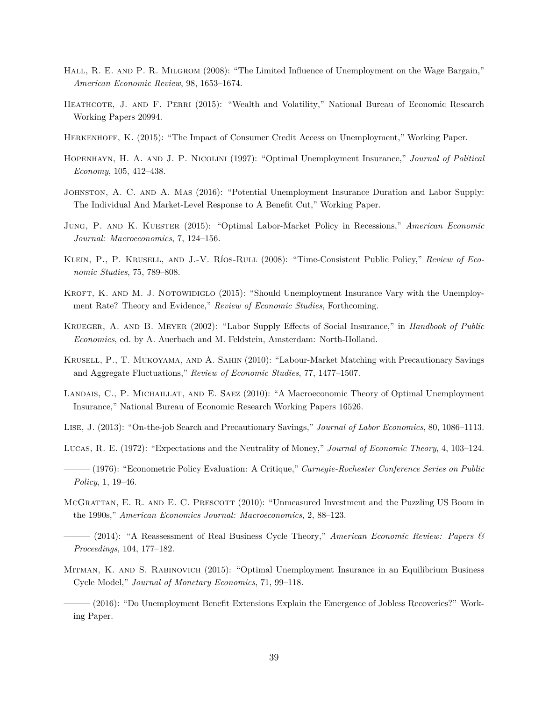- <span id="page-37-7"></span>HALL, R. E. AND P. R. MILGROM (2008): "The Limited Influence of Unemployment on the Wage Bargain," *American Economic Review*, 98, 1653–1674.
- <span id="page-37-12"></span>HEATHCOTE, J. AND F. PERRI (2015): "Wealth and Volatility," National Bureau of Economic Research Working Papers 20994.
- <span id="page-37-17"></span>Herkenhoff, K. (2015): "The Impact of Consumer Credit Access on Unemployment," Working Paper.
- <span id="page-37-3"></span>Hopenhayn, H. A. and J. P. Nicolini (1997): "Optimal Unemployment Insurance," *Journal of Political Economy*, 105, 412–438.
- <span id="page-37-0"></span>JOHNSTON, A. C. AND A. MAS (2016): "Potential Unemployment Insurance Duration and Labor Supply: The Individual And Market-Level Response to A Benefit Cut," Working Paper.
- <span id="page-37-2"></span>Jung, P. and K. Kuester (2015): "Optimal Labor-Market Policy in Recessions," *American Economic Journal: Macroeconomics*, 7, 124–156.
- <span id="page-37-9"></span>Klein, P., P. Krusell, and J.-V. Ríos-Rull (2008): "Time-Consistent Public Policy," *Review of Economic Studies*, 75, 789–808.
- <span id="page-37-5"></span>KROFT, K. AND M. J. NOTOWIDIGLO (2015): "Should Unemployment Insurance Vary with the Unemployment Rate? Theory and Evidence," *Review of Economic Studies*, Forthcoming.
- <span id="page-37-4"></span>Krueger, A. and B. Meyer (2002): "Labor Supply Effects of Social Insurance," in *Handbook of Public Economics*, ed. by A. Auerbach and M. Feldstein, Amsterdam: North-Holland.
- <span id="page-37-10"></span>Krusell, P., T. Mukoyama, and A. Sahin (2010): "Labour-Market Matching with Precautionary Savings and Aggregate Fluctuations," *Review of Economic Studies*, 77, 1477–1507.
- <span id="page-37-8"></span>LANDAIS, C., P. MICHAILLAT, AND E. SAEZ (2010): "A Macroeconomic Theory of Optimal Unemployment Insurance," National Bureau of Economic Research Working Papers 16526.
- <span id="page-37-11"></span>Lise, J. (2013): "On-the-job Search and Precautionary Savings," *Journal of Labor Economics*, 80, 1086–1113.
- <span id="page-37-15"></span>Lucas, R. E. (1972): "Expectations and the Neutrality of Money," *Journal of Economic Theory*, 4, 103–124.
- <span id="page-37-16"></span>——— (1976): "Econometric Policy Evaluation: A Critique," *Carnegie-Rochester Conference Series on Public Policy*, 1, 19–46.
- <span id="page-37-13"></span>MCGRATTAN, E. R. AND E. C. PRESCOTT (2010): "Unmeasured Investment and the Puzzling US Boom in the 1990s," *American Economics Journal: Macroeconomics*, 2, 88–123.
- <span id="page-37-14"></span>——— (2014): "A Reassessment of Real Business Cycle Theory," *American Economic Review: Papers & Proceedings*, 104, 177–182.
- <span id="page-37-1"></span>Mitman, K. and S. Rabinovich (2015): "Optimal Unemployment Insurance in an Equilibrium Business Cycle Model," *Journal of Monetary Economics*, 71, 99–118.

<span id="page-37-6"></span>——— (2016): "Do Unemployment Benefit Extensions Explain the Emergence of Jobless Recoveries?" Working Paper.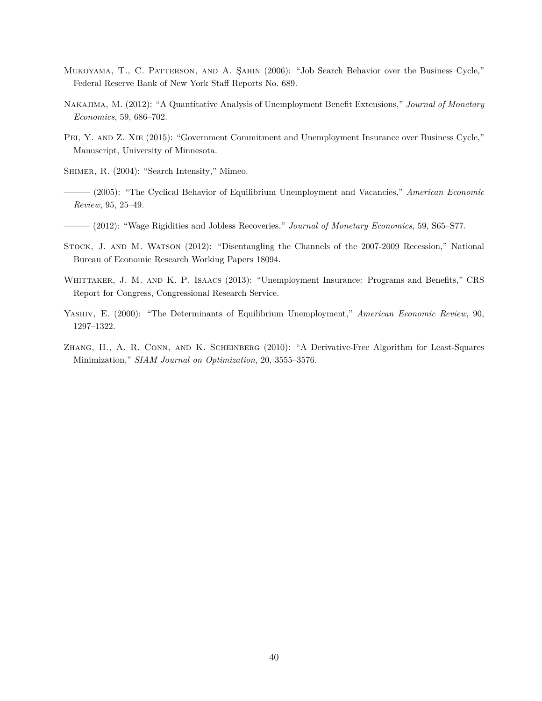- <span id="page-38-8"></span>Mukoyama, T., C. Patterson, and A. Şahin (2006): "Job Search Behavior over the Business Cycle," Federal Reserve Bank of New York Staff Reports No. 689.
- <span id="page-38-0"></span>Nakajima, M. (2012): "A Quantitative Analysis of Unemployment Benefit Extensions," *Journal of Monetary Economics*, 59, 686–702.
- <span id="page-38-1"></span>Pei, Y. and Z. Xie (2015): "Government Commitment and Unemployment Insurance over Business Cycle," Manuscript, University of Minnesota.
- <span id="page-38-7"></span>SHIMER, R. (2004): "Search Intensity," Mimeo.
- <span id="page-38-2"></span>——— (2005): "The Cyclical Behavior of Equilibrium Unemployment and Vacancies," *American Economic Review*, 95, 25–49.
- <span id="page-38-6"></span>——— (2012): "Wage Rigidities and Jobless Recoveries," *Journal of Monetary Economics*, 59, S65–S77.
- <span id="page-38-5"></span>Stock, J. and M. Watson (2012): "Disentangling the Channels of the 2007-2009 Recession," National Bureau of Economic Research Working Papers 18094.
- <span id="page-38-9"></span>WHITTAKER, J. M. AND K. P. ISAACS (2013): "Unemployment Insurance: Programs and Benefits," CRS Report for Congress, Congressional Research Service.
- <span id="page-38-3"></span>Yashiv, E. (2000): "The Determinants of Equilibrium Unemployment," *American Economic Review*, 90, 1297–1322.
- <span id="page-38-4"></span>Zhang, H., A. R. Conn, and K. Scheinberg (2010): "A Derivative-Free Algorithm for Least-Squares Minimization," *SIAM Journal on Optimization*, 20, 3555–3576.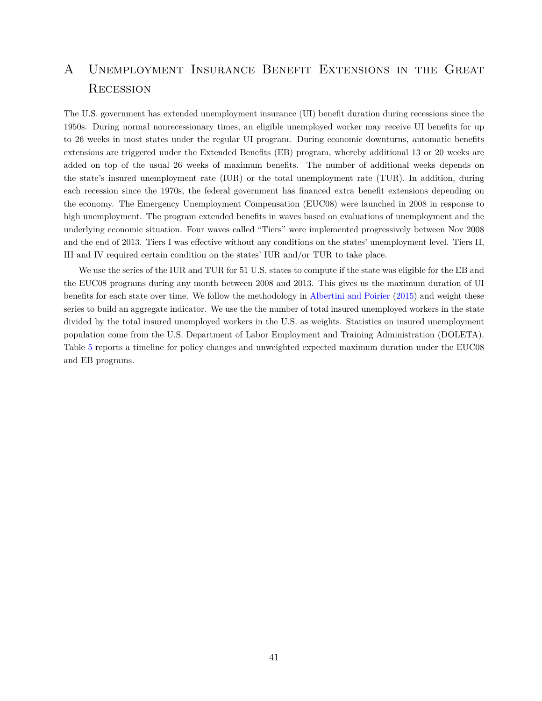# <span id="page-39-0"></span>A Unemployment Insurance Benefit Extensions in the Great Recession

The U.S. government has extended unemployment insurance (UI) benefit duration during recessions since the 1950s. During normal nonrecessionary times, an eligible unemployed worker may receive UI benefits for up to 26 weeks in most states under the regular UI program. During economic downturns, automatic benefits extensions are triggered under the Extended Benefits (EB) program, whereby additional 13 or 20 weeks are added on top of the usual 26 weeks of maximum benefits. The number of additional weeks depends on the state's insured unemployment rate (IUR) or the total unemployment rate (TUR). In addition, during each recession since the 1970s, the federal government has financed extra benefit extensions depending on the economy. The Emergency Unemployment Compensation (EUC08) were launched in 2008 in response to high unemployment. The program extended benefits in waves based on evaluations of unemployment and the underlying economic situation. Four waves called "Tiers" were implemented progressively between Nov 2008 and the end of 2013. Tiers I was effective without any conditions on the states' unemployment level. Tiers II, III and IV required certain condition on the states' IUR and/or TUR to take place.

We use the series of the IUR and TUR for 51 U.S. states to compute if the state was eligible for the EB and the EUC08 programs during any month between 2008 and 2013. This gives us the maximum duration of UI benefits for each state over time. We follow the methodology in [Albertini and Poirier](#page-36-12) [\(2015\)](#page-36-12) and weight these series to build an aggregate indicator. We use the the number of total insured unemployed workers in the state divided by the total insured unemployed workers in the U.S. as weights. Statistics on insured unemployment population come from the U.S. Department of Labor Employment and Training Administration (DOLETA). Table [5](#page-40-0) reports a timeline for policy changes and unweighted expected maximum duration under the EUC08 and EB programs.